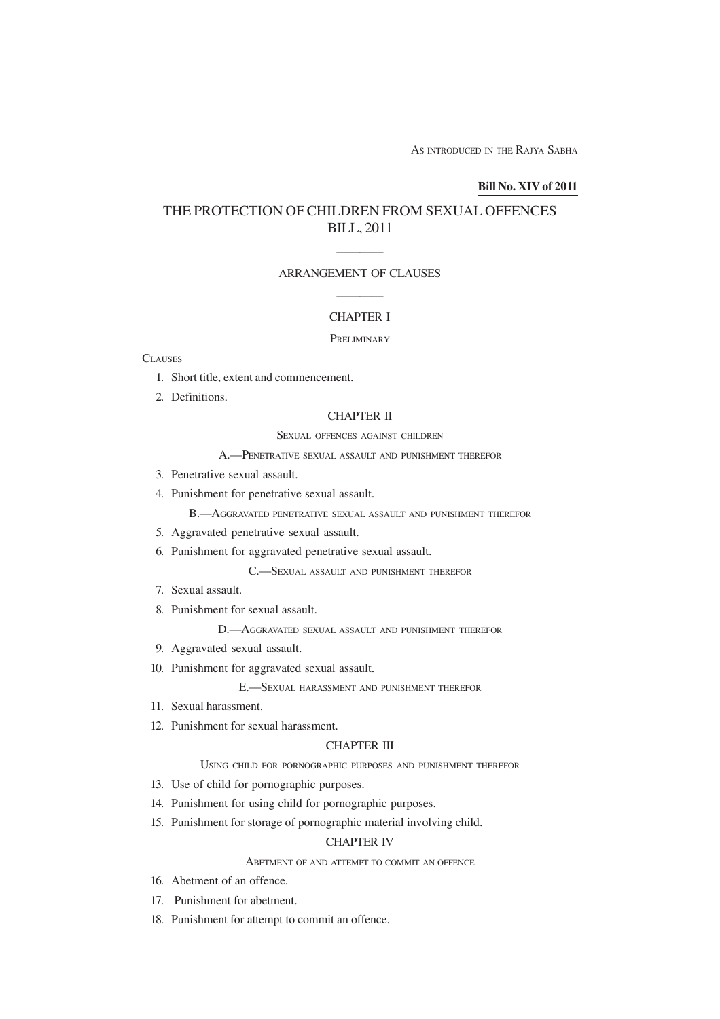AS INTRODUCED IN THE RAJYA SABHA

### **Bill No. XIV of 2011**

# THE PROTECTION OF CHILDREN FROM SEXUAL OFFENCES BILL, 2011

# ———— ARRANGEMENT OF CLAUSES ————

# CHAPTER I

### **PRELIMINARY**

### **CLAUSES**

- 1. Short title, extent and commencement.
- 2. Definitions.

# CHAPTER II

### SEXUAL OFFENCES AGAINST CHILDREN

## A.—PENETRATIVE SEXUAL ASSAULT AND PUNISHMENT THEREFOR

- 3. Penetrative sexual assault.
- 4. Punishment for penetrative sexual assault.

B.—AGGRAVATED PENETRATIVE SEXUAL ASSAULT AND PUNISHMENT THEREFOR

- 5. Aggravated penetrative sexual assault.
- 6. Punishment for aggravated penetrative sexual assault.

C.—SEXUAL ASSAULT AND PUNISHMENT THEREFOR

- 7. Sexual assault.
- 8. Punishment for sexual assault.

D.—AGGRAVATED SEXUAL ASSAULT AND PUNISHMENT THEREFOR

- 9. Aggravated sexual assault.
- 10. Punishment for aggravated sexual assault.

E.—SEXUAL HARASSMENT AND PUNISHMENT THEREFOR

- 11. Sexual harassment.
- 12. Punishment for sexual harassment.

# CHAPTER III

### USING CHILD FOR PORNOGRAPHIC PURPOSES AND PUNISHMENT THEREFOR

- 13. Use of child for pornographic purposes.
- 14. Punishment for using child for pornographic purposes.
- 15. Punishment for storage of pornographic material involving child.

## CHAPTER IV

### ABETMENT OF AND ATTEMPT TO COMMIT AN OFFENCE

- 16. Abetment of an offence.
- 17. Punishment for abetment.
- 18. Punishment for attempt to commit an offence.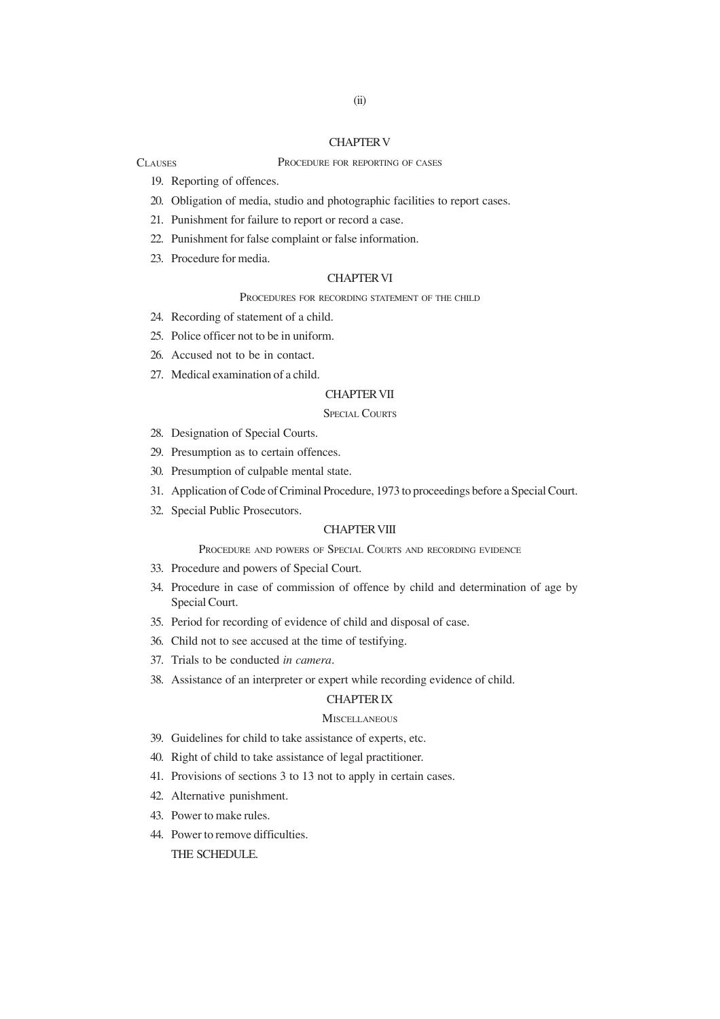## CHAPTER V

#### PROCEDURE FOR REPORTING OF CASES

19. Reporting of offences.

**CLAUSES** 

- 20. Obligation of media, studio and photographic facilities to report cases.
- 21. Punishment for failure to report or record a case.
- 22. Punishment for false complaint or false information.
- 23. Procedure for media.

### CHAPTER VI

# PROCEDURES FOR RECORDING STATEMENT OF THE CHILD

- 24. Recording of statement of a child.
- 25. Police officer not to be in uniform.
- 26. Accused not to be in contact.
- 27. Medical examination of a child.

### CHAPTER VII

### SPECIAL COURTS

- 28. Designation of Special Courts.
- 29. Presumption as to certain offences.
- 30. Presumption of culpable mental state.
- 31. Application of Code of Criminal Procedure, 1973 to proceedings before a Special Court.
- 32. Special Public Prosecutors.

# CHAPTER VIII

PROCEDURE AND POWERS OF SPECIAL COURTS AND RECORDING EVIDENCE

- 33. Procedure and powers of Special Court.
- 34. Procedure in case of commission of offence by child and determination of age by Special Court.
- 35. Period for recording of evidence of child and disposal of case.
- 36. Child not to see accused at the time of testifying.
- 37. Trials to be conducted *in camera*.
- 38. Assistance of an interpreter or expert while recording evidence of child.

# CHAPTER IX

# **MISCELLANEOUS**

- 39. Guidelines for child to take assistance of experts, etc.
- 40. Right of child to take assistance of legal practitioner.
- 41. Provisions of sections 3 to 13 not to apply in certain cases.
- 42. Alternative punishment.
- 43. Power to make rules.
- 44. Power to remove difficulties.

THE SCHEDULE.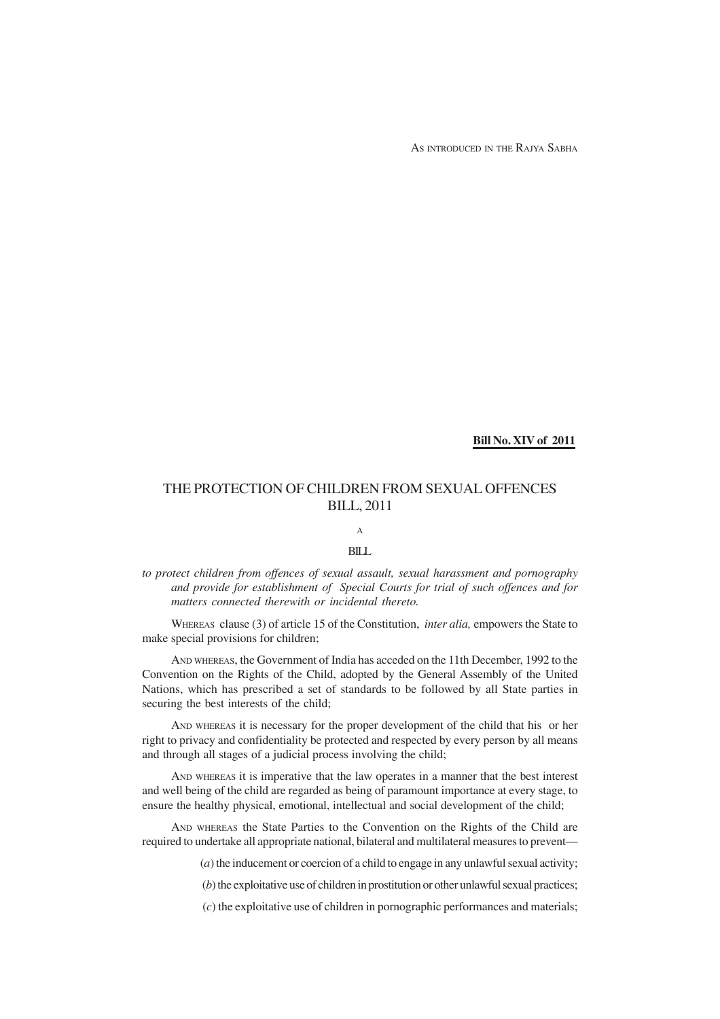AS INTRODUCED IN THE RAJYA SABHA

**Bill No. XIV of 2011**

# THE PROTECTION OF CHILDREN FROM SEXUAL OFFENCES BILL, 2011

# A

# BILL

*to protect children from offences of sexual assault, sexual harassment and pornography and provide for establishment of Special Courts for trial of such offences and for matters connected therewith or incidental thereto.*

WHEREAS clause (3) of article 15 of the Constitution, *inter alia,* empowers the State to make special provisions for children;

AND WHEREAS, the Government of India has acceded on the 11th December, 1992 to the Convention on the Rights of the Child, adopted by the General Assembly of the United Nations, which has prescribed a set of standards to be followed by all State parties in securing the best interests of the child;

AND WHEREAS it is necessary for the proper development of the child that his or her right to privacy and confidentiality be protected and respected by every person by all means and through all stages of a judicial process involving the child;

AND WHEREAS it is imperative that the law operates in a manner that the best interest and well being of the child are regarded as being of paramount importance at every stage, to ensure the healthy physical, emotional, intellectual and social development of the child;

AND WHEREAS the State Parties to the Convention on the Rights of the Child are required to undertake all appropriate national, bilateral and multilateral measures to prevent—

(*a*) the inducement or coercion of a child to engage in any unlawful sexual activity;

(*b*) the exploitative use of children in prostitution or other unlawful sexual practices;

(*c*) the exploitative use of children in pornographic performances and materials;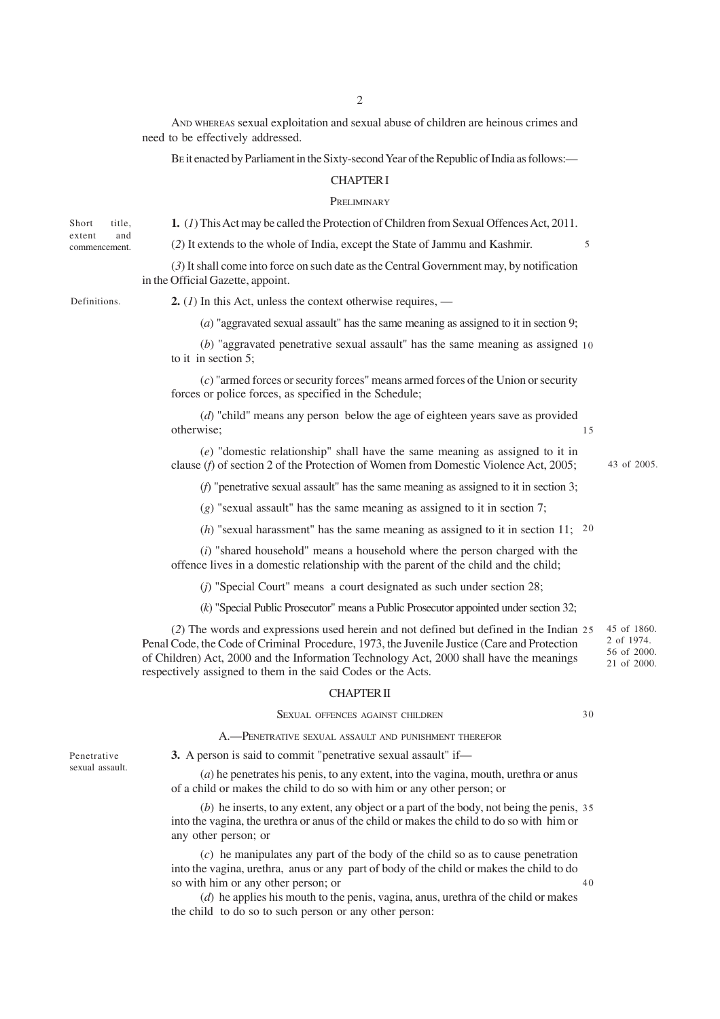2

AND WHEREAS sexual exploitation and sexual abuse of children are heinous crimes and need to be effectively addressed.

BE it enacted by Parliament in the Sixty-second Year of the Republic of India as follows:—

# CHAPTER I

### PRELIMINARY

**1.** (*1*) This Act may be called the Protection of Children from Sexual Offences Act, 2011.

(*2*) It extends to the whole of India, except the State of Jammu and Kashmir.

(*3*) It shall come into force on such date as the Central Government may, by notification in the Official Gazette, appoint.

Definitions.

Short title, extent and commencement.

**2.** (*1*) In this Act, unless the context otherwise requires, —

(*a*) "aggravated sexual assault" has the same meaning as assigned to it in section 9;

(*b*) "aggravated penetrative sexual assault" has the same meaning as assigned 10 to it in section 5;

(*c*) "armed forces or security forces" means armed forces of the Union or security forces or police forces, as specified in the Schedule;

(*d*) "child" means any person below the age of eighteen years save as provided otherwise;

(*e*) "domestic relationship" shall have the same meaning as assigned to it in clause (*f*) of section 2 of the Protection of Women from Domestic Violence Act, 2005;

(*f*) "penetrative sexual assault" has the same meaning as assigned to it in section 3;

(*g*) "sexual assault" has the same meaning as assigned to it in section 7;

(*h*) "sexual harassment" has the same meaning as assigned to it in section 11; 20

(*i*) "shared household" means a household where the person charged with the offence lives in a domestic relationship with the parent of the child and the child;

(*j*) "Special Court" means a court designated as such under section 28;

(*k*) "Special Public Prosecutor" means a Public Prosecutor appointed under section 32;

(*2*) The words and expressions used herein and not defined but defined in the Indian 25 Penal Code, the Code of Criminal Procedure, 1973, the Juvenile Justice (Care and Protection of Children) Act, 2000 and the Information Technology Act, 2000 shall have the meanings respectively assigned to them in the said Codes or the Acts. 45 of 1860. 2 of 1974. 56 of 2000. 21 of 2000.

#### CHAPTER II

SEXUAL OFFENCES AGAINST CHILDREN

30

A.—PENETRATIVE SEXUAL ASSAULT AND PUNISHMENT THEREFOR

**3.** A person is said to commit "penetrative sexual assault" if—

(*a*) he penetrates his penis, to any extent, into the vagina, mouth, urethra or anus of a child or makes the child to do so with him or any other person; or

(*b*) he inserts, to any extent, any object or a part of the body, not being the penis, 35 into the vagina, the urethra or anus of the child or makes the child to do so with him or any other person; or

(*c*) he manipulates any part of the body of the child so as to cause penetration into the vagina, urethra, anus or any part of body of the child or makes the child to do so with him or any other person; or 40

(*d*) he applies his mouth to the penis, vagina, anus, urethra of the child or makes the child to do so to such person or any other person:

Penetrative sexual assault. 43 of 2005.

5

15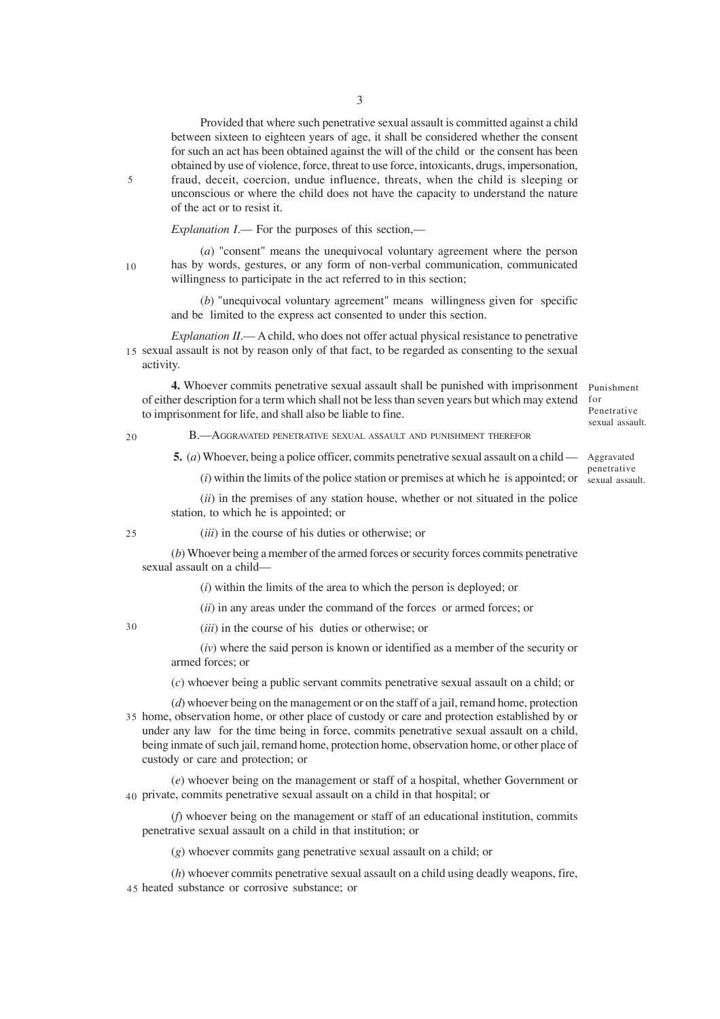Provided that where such penetrative sexual assault is committed against a child between sixteen to eighteen years of age, it shall be considered whether the consent for such an act has been obtained against the will of the child or the consent has been obtained by use of violence, force, threat to use force, intoxicants, drugs, impersonation, fraud, deceit, coercion, undue influence, threats, when the child is sleeping or unconscious or where the child does not have the capacity to understand the nature of the act or to resist it.

*Explanation I*.— For the purposes of this section,—

10

5

(*a*) "consent" means the unequivocal voluntary agreement where the person has by words, gestures, or any form of non-verbal communication, communicated willingness to participate in the act referred to in this section;

(*b*) "unequivocal voluntary agreement" means willingness given for specific and be limited to the express act consented to under this section.

*Explanation II.*— A child, who does not offer actual physical resistance to penetrative 15 sexual assault is not by reason only of that fact, to be regarded as consenting to the sexual activity.

**4.** Whoever commits penetrative sexual assault shall be punished with imprisonment of either description for a term which shall not be less than seven years but which may extend to imprisonment for life, and shall also be liable to fine.

 $20$ 

B.—AGGRAVATED PENETRATIVE SEXUAL ASSAULT AND PUNISHMENT THEREFOR

 **5.** (*a*) Whoever, being a police officer, commits penetrative sexual assault on a child —

(*i*) within the limits of the police station or premises at which he is appointed; or sexual assault.

(*ii*) in the premises of any station house, whether or not situated in the police station, to which he is appointed; or

25

(*iii*) in the course of his duties or otherwise; or

(*b*) Whoever being a member of the armed forces or security forces commits penetrative sexual assault on a child—

(*i*) within the limits of the area to which the person is deployed; or

(*ii*) in any areas under the command of the forces or armed forces; or

30

(*iii*) in the course of his duties or otherwise; or

(*iv*) where the said person is known or identified as a member of the security or armed forces; or

(*c*) whoever being a public servant commits penetrative sexual assault on a child; or

(*d*) whoever being on the management or on the staff of a jail, remand home, protection 35 home, observation home, or other place of custody or care and protection established by or under any law for the time being in force, commits penetrative sexual assault on a child, being inmate of such jail, remand home, protection home, observation home, or other place of custody or care and protection; or

(*e*) whoever being on the management or staff of a hospital, whether Government or private, commits penetrative sexual assault on a child in that hospital; or 40

(*f*) whoever being on the management or staff of an educational institution, commits penetrative sexual assault on a child in that institution; or

(*g*) whoever commits gang penetrative sexual assault on a child; or

(*h*) whoever commits penetrative sexual assault on a child using deadly weapons, fire, 45 heated substance or corrosive substance; or

Punishment for Penetrative sexual assault.

Aggravated penetrative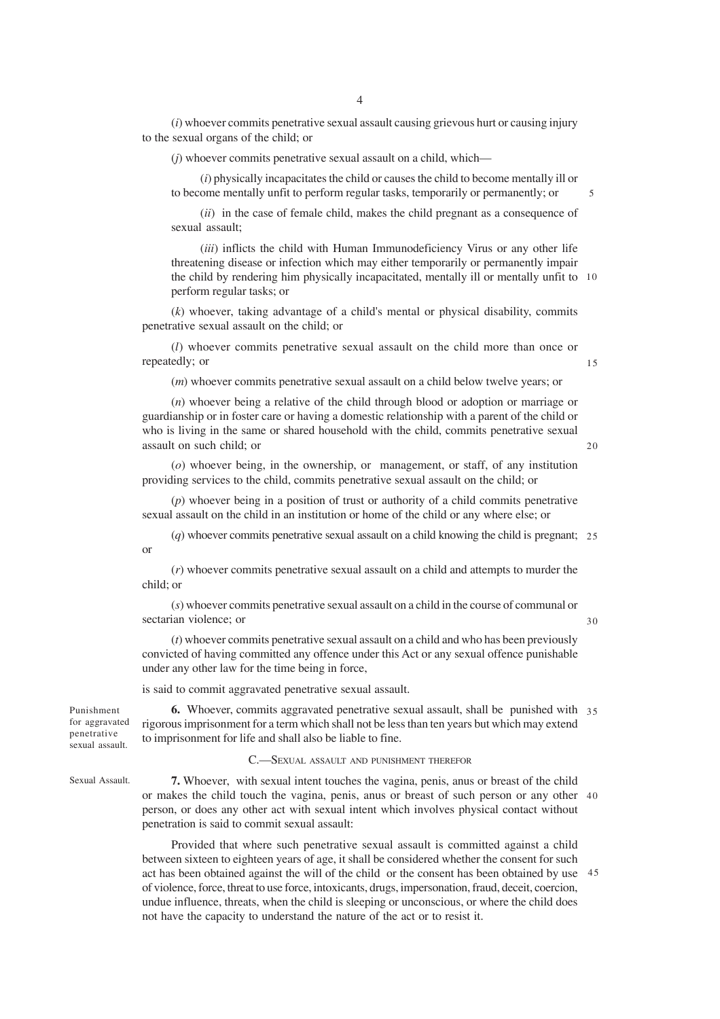(*i*) whoever commits penetrative sexual assault causing grievous hurt or causing injury to the sexual organs of the child; or

(*j*) whoever commits penetrative sexual assault on a child, which—

(*i*) physically incapacitates the child or causes the child to become mentally ill or to become mentally unfit to perform regular tasks, temporarily or permanently; or

(*ii*) in the case of female child, makes the child pregnant as a consequence of sexual assault;

(*iii*) inflicts the child with Human Immunodeficiency Virus or any other life threatening disease or infection which may either temporarily or permanently impair the child by rendering him physically incapacitated, mentally ill or mentally unfit to 10 perform regular tasks; or

(*k*) whoever, taking advantage of a child's mental or physical disability, commits penetrative sexual assault on the child; or

(*l*) whoever commits penetrative sexual assault on the child more than once or repeatedly; or

(*m*) whoever commits penetrative sexual assault on a child below twelve years; or

(*n*) whoever being a relative of the child through blood or adoption or marriage or guardianship or in foster care or having a domestic relationship with a parent of the child or who is living in the same or shared household with the child, commits penetrative sexual assault on such child; or

(*o*) whoever being, in the ownership, or management, or staff, of any institution providing services to the child, commits penetrative sexual assault on the child; or

(*p*) whoever being in a position of trust or authority of a child commits penetrative sexual assault on the child in an institution or home of the child or any where else; or

(*q*) whoever commits penetrative sexual assault on a child knowing the child is pregnant; 25 or

(*r*) whoever commits penetrative sexual assault on a child and attempts to murder the child; or

(*s*) whoever commits penetrative sexual assault on a child in the course of communal or sectarian violence; or

(*t*) whoever commits penetrative sexual assault on a child and who has been previously convicted of having committed any offence under this Act or any sexual offence punishable under any other law for the time being in force,

is said to commit aggravated penetrative sexual assault.

**6.** Whoever, commits aggravated penetrative sexual assault, shall be punished with 35 rigorous imprisonment for a term which shall not be less than ten years but which may extend to imprisonment for life and shall also be liable to fine. for aggravated

### C.—SEXUAL ASSAULT AND PUNISHMENT THEREFOR

Sexual Assault.

Punishment

penetrative sexual assault.

> **7.** Whoever, with sexual intent touches the vagina, penis, anus or breast of the child or makes the child touch the vagina, penis, anus or breast of such person or any other 40 person, or does any other act with sexual intent which involves physical contact without penetration is said to commit sexual assault:

> Provided that where such penetrative sexual assault is committed against a child between sixteen to eighteen years of age, it shall be considered whether the consent for such act has been obtained against the will of the child or the consent has been obtained by use 45of violence, force, threat to use force, intoxicants, drugs, impersonation, fraud, deceit, coercion, undue influence, threats, when the child is sleeping or unconscious, or where the child does not have the capacity to understand the nature of the act or to resist it.

5

 $20$ 

15

30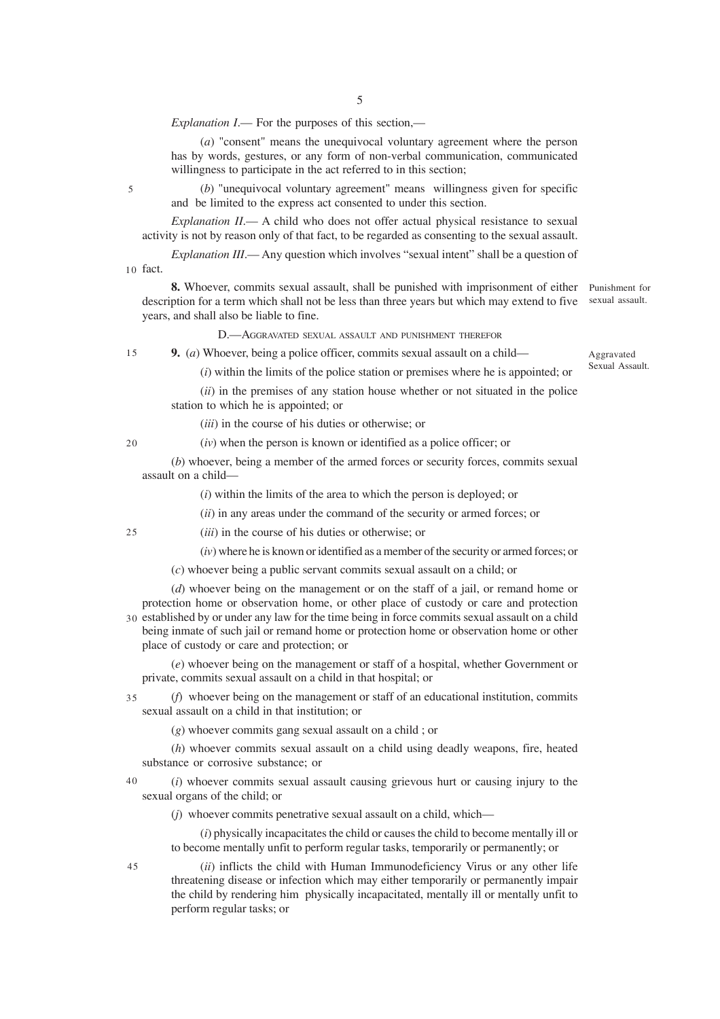*Explanation I*.— For the purposes of this section,—

(*a*) "consent" means the unequivocal voluntary agreement where the person has by words, gestures, or any form of non-verbal communication, communicated willingness to participate in the act referred to in this section:

(*b*) "unequivocal voluntary agreement" means willingness given for specific and be limited to the express act consented to under this section.

*Explanation II*.— A child who does not offer actual physical resistance to sexual activity is not by reason only of that fact, to be regarded as consenting to the sexual assault.

*Explanation III*.— Any question which involves "sexual intent" shall be a question of 10 fact.

**8.** Whoever, commits sexual assault, shall be punished with imprisonment of either Punishment for description for a term which shall not be less than three years but which may extend to five years, and shall also be liable to fine.

sexual assault.

D.—AGGRAVATED SEXUAL ASSAULT AND PUNISHMENT THEREFOR

**9.** (*a*) Whoever, being a police officer, commits sexual assault on a child— 15

Aggravated Sexual Assault.

(*i*) within the limits of the police station or premises where he is appointed; or

(*ii*) in the premises of any station house whether or not situated in the police station to which he is appointed; or

(*iii*) in the course of his duties or otherwise; or

(*iv*) when the person is known or identified as a police officer; or

(*b*) whoever, being a member of the armed forces or security forces, commits sexual assault on a child—

(*i*) within the limits of the area to which the person is deployed; or

(*ii*) in any areas under the command of the security or armed forces; or

25

 $20$ 

5

(*iii*) in the course of his duties or otherwise; or

(*iv*) where he is known or identified as a member of the security or armed forces; or

(*c*) whoever being a public servant commits sexual assault on a child; or

(*d*) whoever being on the management or on the staff of a jail, or remand home or protection home or observation home, or other place of custody or care and protection 30 established by or under any law for the time being in force commits sexual assault on a child

being inmate of such jail or remand home or protection home or observation home or other place of custody or care and protection; or

(*e*) whoever being on the management or staff of a hospital, whether Government or private, commits sexual assault on a child in that hospital; or

(*f*) whoever being on the management or staff of an educational institution, commits sexual assault on a child in that institution; or 35

(*g*) whoever commits gang sexual assault on a child ; or

(*h*) whoever commits sexual assault on a child using deadly weapons, fire, heated substance or corrosive substance; or

(*i*) whoever commits sexual assault causing grievous hurt or causing injury to the sexual organs of the child; or 40

(*j*) whoever commits penetrative sexual assault on a child, which—

(*i*) physically incapacitates the child or causes the child to become mentally ill or to become mentally unfit to perform regular tasks, temporarily or permanently; or

45

(*ii*) inflicts the child with Human Immunodeficiency Virus or any other life threatening disease or infection which may either temporarily or permanently impair the child by rendering him physically incapacitated, mentally ill or mentally unfit to perform regular tasks; or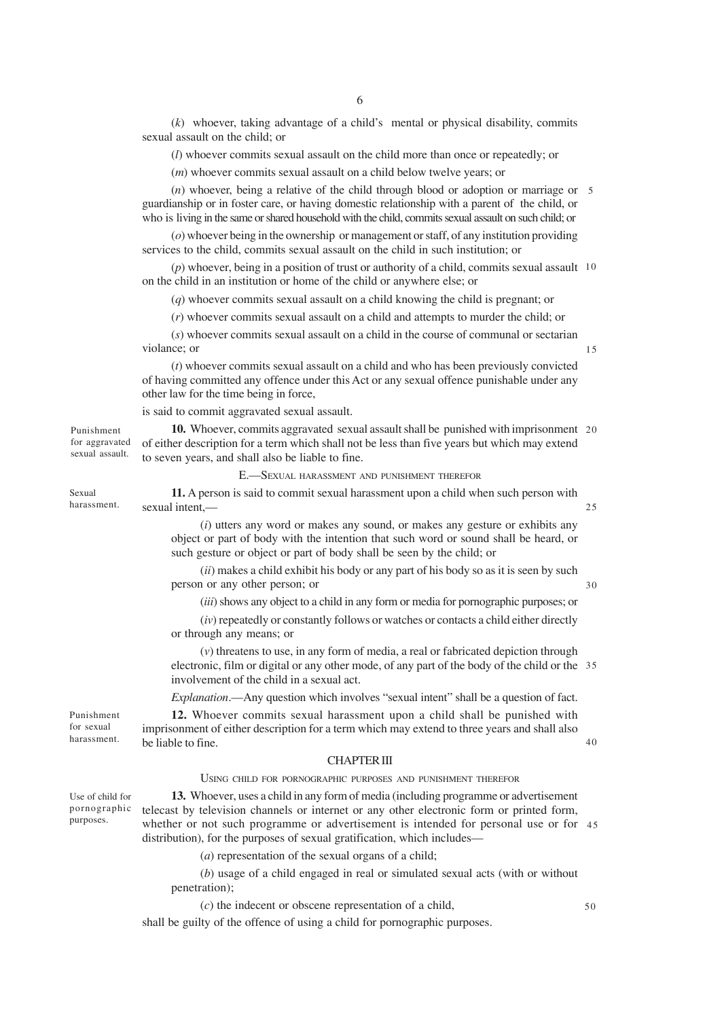(*k*) whoever, taking advantage of a child's mental or physical disability, commits sexual assault on the child; or

(*l*) whoever commits sexual assault on the child more than once or repeatedly; or

(*m*) whoever commits sexual assault on a child below twelve years; or

(*n*) whoever, being a relative of the child through blood or adoption or marriage or 5 guardianship or in foster care, or having domestic relationship with a parent of the child, or who is living in the same or shared household with the child, commits sexual assault on such child; or

(*o*) whoever being in the ownership or management or staff, of any institution providing services to the child, commits sexual assault on the child in such institution; or

(*p*) whoever, being in a position of trust or authority of a child, commits sexual assault 10 on the child in an institution or home of the child or anywhere else; or

(*q*) whoever commits sexual assault on a child knowing the child is pregnant; or

(*r*) whoever commits sexual assault on a child and attempts to murder the child; or

(*s*) whoever commits sexual assault on a child in the course of communal or sectarian violance; or

(*t*) whoever commits sexual assault on a child and who has been previously convicted of having committed any offence under this Act or any sexual offence punishable under any other law for the time being in force,

is said to commit aggravated sexual assault.

**10.** Whoever, commits aggravated sexual assault shall be punished with imprisonment 20 of either description for a term which shall not be less than five years but which may extend to seven years, and shall also be liable to fine. Punishment for aggravated sexual assault.

#### E.—SEXUAL HARASSMENT AND PUNISHMENT THEREFOR

**11.** A person is said to commit sexual harassment upon a child when such person with sexual intent, harassment.

> (*i*) utters any word or makes any sound, or makes any gesture or exhibits any object or part of body with the intention that such word or sound shall be heard, or such gesture or object or part of body shall be seen by the child; or

> (*ii*) makes a child exhibit his body or any part of his body so as it is seen by such person or any other person; or

(*iii*) shows any object to a child in any form or media for pornographic purposes; or

(*iv*) repeatedly or constantly follows or watches or contacts a child either directly or through any means; or

(*v*) threatens to use, in any form of media, a real or fabricated depiction through electronic, film or digital or any other mode, of any part of the body of the child or the 35 involvement of the child in a sexual act.

*Explanation*.—Any question which involves "sexual intent" shall be a question of fact.

**12.** Whoever commits sexual harassment upon a child shall be punished with imprisonment of either description for a term which may extend to three years and shall also be liable to fine.

### CHAPTER III

### USING CHILD FOR PORNOGRAPHIC PURPOSES AND PUNISHMENT THEREFOR

Use of child for pornographic purposes.

Punishment for sexual harassment.

Sexual

**13.** Whoever, uses a child in any form of media (including programme or advertisement telecast by television channels or internet or any other electronic form or printed form, whether or not such programme or advertisement is intended for personal use or for 45 distribution), for the purposes of sexual gratification, which includes—

(*a*) representation of the sexual organs of a child;

(*b*) usage of a child engaged in real or simulated sexual acts (with or without penetration);

(*c*) the indecent or obscene representation of a child,

shall be guilty of the offence of using a child for pornographic purposes.

15

40

50

 $25$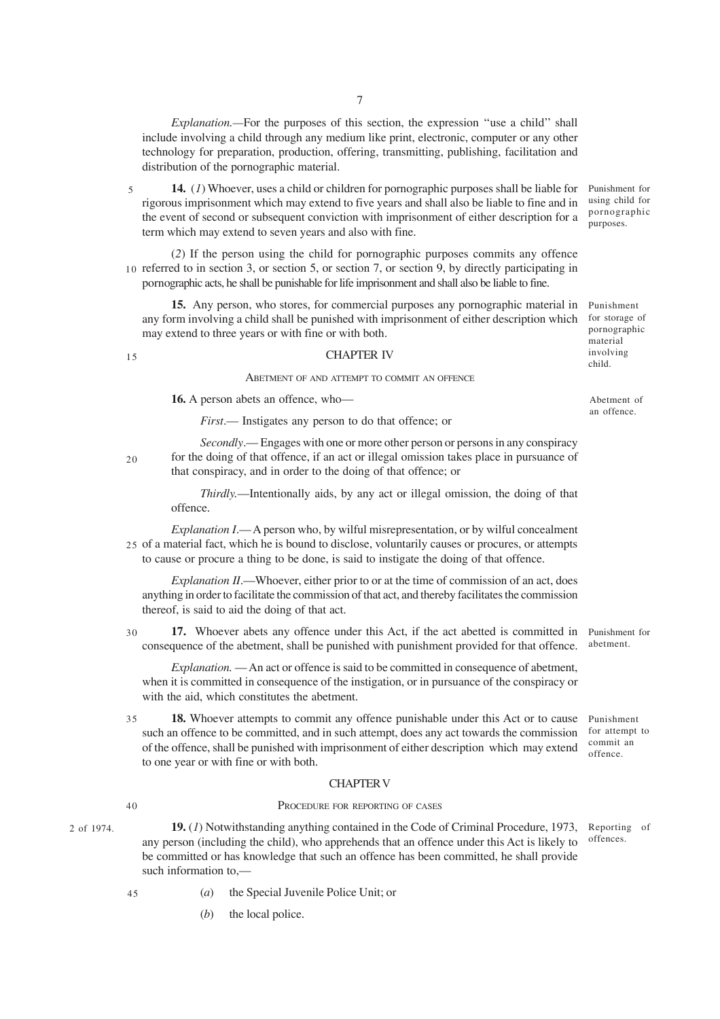*Explanation.—*For the purposes of this section, the expression ''use a child'' shall include involving a child through any medium like print, electronic, computer or any other technology for preparation, production, offering, transmitting, publishing, facilitation and distribution of the pornographic material.

**14.** (*1*) Whoever, uses a child or children for pornographic purposes shall be liable for rigorous imprisonment which may extend to five years and shall also be liable to fine and in the event of second or subsequent conviction with imprisonment of either description for a term which may extend to seven years and also with fine. Punishment for using child for pornographic purposes. 5

(*2*) If the person using the child for pornographic purposes commits any offence 10 referred to in section 3, or section 5, or section 7, or section 9, by directly participating in pornographic acts, he shall be punishable for life imprisonment and shall also be liable to fine.

**15.** Any person, who stores, for commercial purposes any pornographic material in any form involving a child shall be punished with imprisonment of either description which may extend to three years or with fine or with both.

Punishment for storage of pornographic material involving child.

Abetment of an offence.

#### 15

# CHAPTER IV

ABETMENT OF AND ATTEMPT TO COMMIT AN OFFENCE

**16.** A person abets an offence, who—

*First*.— Instigates any person to do that offence; or

 $20$ 

*Secondly*.— Engages with one or more other person or persons in any conspiracy for the doing of that offence, if an act or illegal omission takes place in pursuance of that conspiracy, and in order to the doing of that offence; or

*Thirdly.*—Intentionally aids, by any act or illegal omission, the doing of that offence.

*Explanation I.*— A person who, by wilful misrepresentation, or by wilful concealment 25 of a material fact, which he is bound to disclose, voluntarily causes or procures, or attempts to cause or procure a thing to be done, is said to instigate the doing of that offence.

*Explanation II*.—Whoever, either prior to or at the time of commission of an act, does anything in order to facilitate the commission of that act, and thereby facilitates the commission thereof, is said to aid the doing of that act.

**17.** Whoever abets any offence under this Act, if the act abetted is committed in consequence of the abetment, shall be punished with punishment provided for that offence. Punishment for abetment. 30

*Explanation.* — An act or offence is said to be committed in consequence of abetment, when it is committed in consequence of the instigation, or in pursuance of the conspiracy or with the aid, which constitutes the abetment.

**18.** Whoever attempts to commit any offence punishable under this Act or to cause such an offence to be committed, and in such attempt, does any act towards the commission of the offence, shall be punished with imprisonment of either description which may extend to one year or with fine or with both. 35

### CHAPTER V

# 40

45

2 of 1974.

### PROCEDURE FOR REPORTING OF CASES

- **19.** (*1*) Notwithstanding anything contained in the Code of Criminal Procedure, 1973, any person (including the child), who apprehends that an offence under this Act is likely to be committed or has knowledge that such an offence has been committed, he shall provide such information to,— Reporting of offences.
	- (*a*) the Special Juvenile Police Unit; or
		- (*b*) the local police.

Punishment for attempt to commit an offence.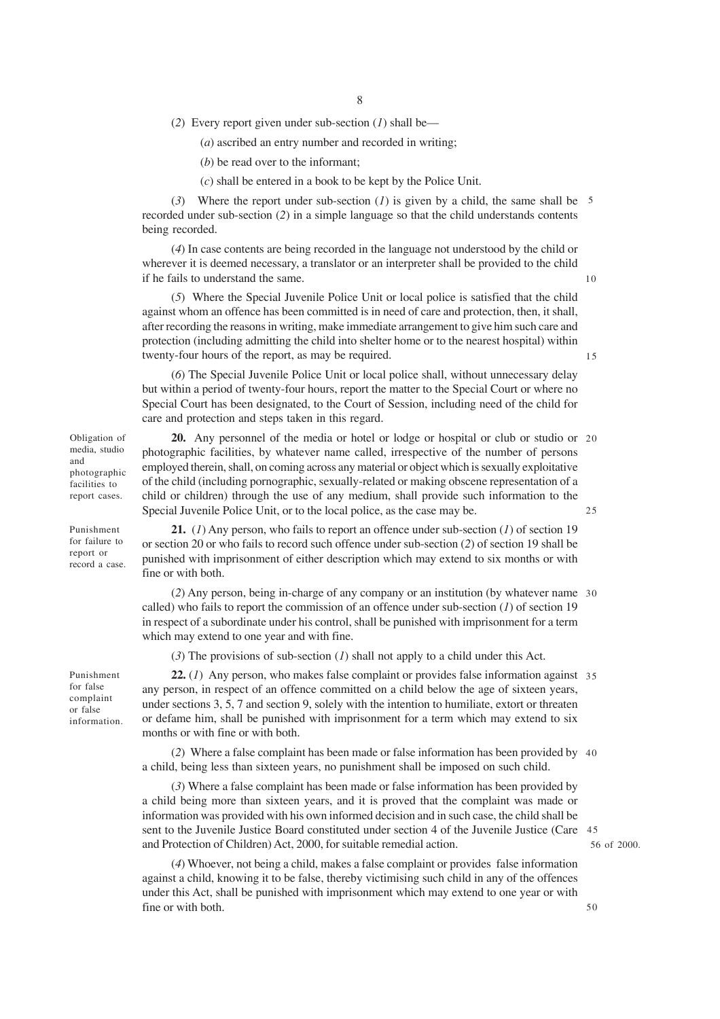(*2*) Every report given under sub-section (*1*) shall be—

(*a*) ascribed an entry number and recorded in writing;

(*b*) be read over to the informant;

(*c*) shall be entered in a book to be kept by the Police Unit.

(*3*) Where the report under sub-section (*1*) is given by a child, the same shall be 5 recorded under sub-section (*2*) in a simple language so that the child understands contents being recorded.

(*4*) In case contents are being recorded in the language not understood by the child or wherever it is deemed necessary, a translator or an interpreter shall be provided to the child if he fails to understand the same.

(*5*) Where the Special Juvenile Police Unit or local police is satisfied that the child against whom an offence has been committed is in need of care and protection, then, it shall, after recording the reasons in writing, make immediate arrangement to give him such care and protection (including admitting the child into shelter home or to the nearest hospital) within twenty-four hours of the report, as may be required.

(*6*) The Special Juvenile Police Unit or local police shall, without unnecessary delay but within a period of twenty-four hours, report the matter to the Special Court or where no Special Court has been designated, to the Court of Session, including need of the child for care and protection and steps taken in this regard.

Obligation of media, studio and photographic facilities to report cases.

Punishment for failure to report or record a case.

Punishment for false complaint or false information.

**20.** Any personnel of the media or hotel or lodge or hospital or club or studio or 20 photographic facilities, by whatever name called, irrespective of the number of persons employed therein, shall, on coming across any material or object which is sexually exploitative of the child (including pornographic, sexually-related or making obscene representation of a child or children) through the use of any medium, shall provide such information to the Special Juvenile Police Unit, or to the local police, as the case may be. 25

**21.** (*1*) Any person, who fails to report an offence under sub-section (*1*) of section 19 or section 20 or who fails to record such offence under sub-section (*2*) of section 19 shall be punished with imprisonment of either description which may extend to six months or with fine or with both.

(*2*) Any person, being in-charge of any company or an institution (by whatever name 30 called) who fails to report the commission of an offence under sub-section (*1*) of section 19 in respect of a subordinate under his control, shall be punished with imprisonment for a term which may extend to one year and with fine.

(*3*) The provisions of sub-section (*1*) shall not apply to a child under this Act.

22. (1) Any person, who makes false complaint or provides false information against 35 any person, in respect of an offence committed on a child below the age of sixteen years, under sections 3, 5, 7 and section 9, solely with the intention to humiliate, extort or threaten or defame him, shall be punished with imprisonment for a term which may extend to six months or with fine or with both.

(*2*) Where a false complaint has been made or false information has been provided by 40 a child, being less than sixteen years, no punishment shall be imposed on such child.

(*3*) Where a false complaint has been made or false information has been provided by a child being more than sixteen years, and it is proved that the complaint was made or information was provided with his own informed decision and in such case, the child shall be sent to the Juvenile Justice Board constituted under section 4 of the Juvenile Justice (Care 45 and Protection of Children) Act, 2000, for suitable remedial action.

(*4*) Whoever, not being a child, makes a false complaint or provides false information against a child, knowing it to be false, thereby victimising such child in any of the offences under this Act, shall be punished with imprisonment which may extend to one year or with fine or with both.

56 of 2000.

50

15

10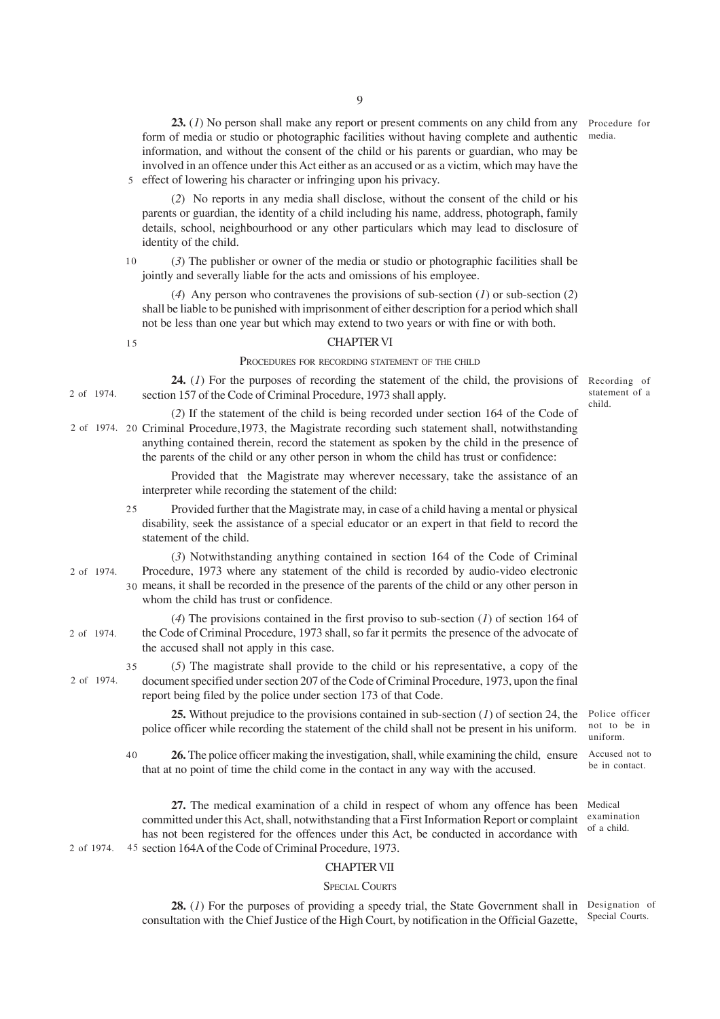23. (1) No person shall make any report or present comments on any child from any Procedure for form of media or studio or photographic facilities without having complete and authentic information, and without the consent of the child or his parents or guardian, who may be involved in an offence under this Act either as an accused or as a victim, which may have the 5 effect of lowering his character or infringing upon his privacy.

(*2*) No reports in any media shall disclose, without the consent of the child or his parents or guardian, the identity of a child including his name, address, photograph, family details, school, neighbourhood or any other particulars which may lead to disclosure of identity of the child.

(*3*) The publisher or owner of the media or studio or photographic facilities shall be jointly and severally liable for the acts and omissions of his employee. 10

(*4*) Any person who contravenes the provisions of sub-section (*1*) or sub-section (*2*) shall be liable to be punished with imprisonment of either description for a period which shall not be less than one year but which may extend to two years or with fine or with both.

### CHAPTER VI

#### PROCEDURES FOR RECORDING STATEMENT OF THE CHILD

24. (1) For the purposes of recording the statement of the child, the provisions of Recording of section 157 of the Code of Criminal Procedure, 1973 shall apply. 2 of 1974.

statement of a child.

media.

(*2*) If the statement of the child is being recorded under section 164 of the Code of 2 of 1974. 20 Criminal Procedure, 1973, the Magistrate recording such statement shall, notwithstanding anything contained therein, record the statement as spoken by the child in the presence of the parents of the child or any other person in whom the child has trust or confidence:

> Provided that the Magistrate may wherever necessary, take the assistance of an interpreter while recording the statement of the child:

Provided further that the Magistrate may, in case of a child having a mental or physical disability, seek the assistance of a special educator or an expert in that field to record the statement of the child. 25

(*3*) Notwithstanding anything contained in section 164 of the Code of Criminal Procedure, 1973 where any statement of the child is recorded by audio-video electronic means, it shall be recorded in the presence of the parents of the child or any other person in 30 whom the child has trust or confidence. 2 of 1974.

(*4*) The provisions contained in the first proviso to sub-section (*1*) of section 164 of the Code of Criminal Procedure, 1973 shall, so far it permits the presence of the advocate of the accused shall not apply in this case.

(*5*) The magistrate shall provide to the child or his representative, a copy of the document specified under section 207 of the Code of Criminal Procedure, 1973, upon the final report being filed by the police under section 173 of that Code. 35

**25.** Without prejudice to the provisions contained in sub-section (*1*) of section 24, the police officer while recording the statement of the child shall not be present in his uniform.

**26.** The police officer making the investigation, shall, while examining the child, ensure that at no point of time the child come in the contact in any way with the accused. 40

**27.** The medical examination of a child in respect of whom any offence has been committed under this Act, shall, notwithstanding that a First Information Report or complaint has not been registered for the offences under this Act, be conducted in accordance with 2 of 1974. 45 section 164A of the Code of Criminal Procedure, 1973.

CHAPTER VII

#### SPECIAL COURTS

**28.** (1) For the purposes of providing a speedy trial, the State Government shall in Designation of consultation with the Chief Justice of the High Court, by notification in the Official Gazette, Special Courts.

15

2 of 1974.

2 of 1974.

Police officer not to be in uniform.

Accused not to be in contact.

Medical examination of a child.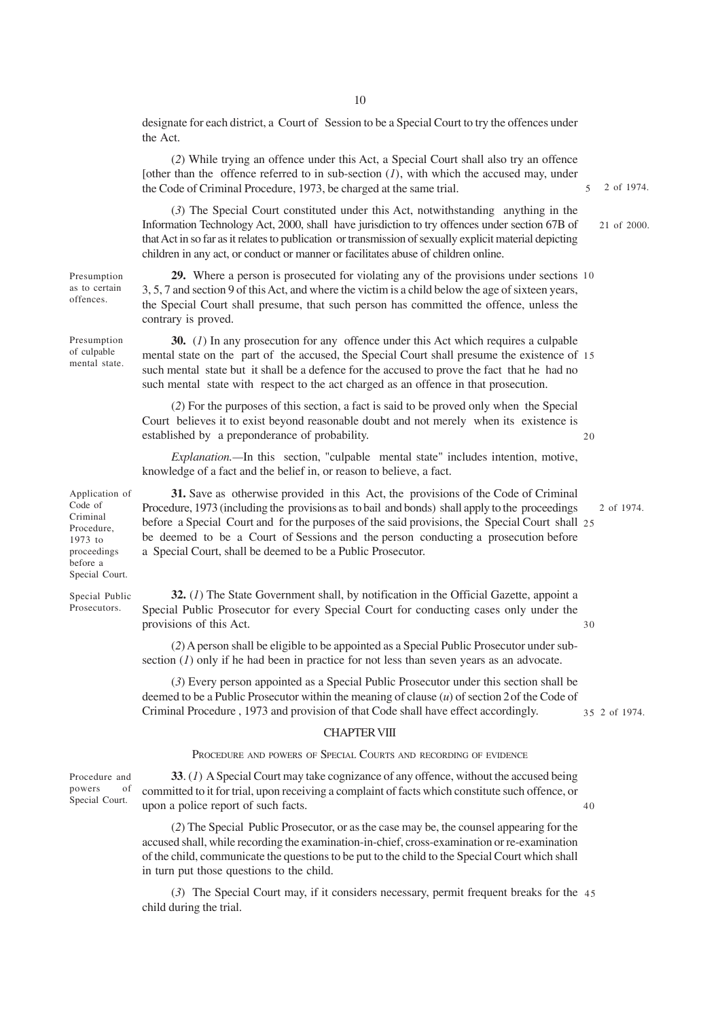designate for each district, a Court of Session to be a Special Court to try the offences under the Act.

(*2*) While trying an offence under this Act, a Special Court shall also try an offence [other than the offence referred to in sub-section  $(I)$ , with which the accused may, under the Code of Criminal Procedure, 1973, be charged at the same trial. 5

2 of 1974.

21 of 2000.

 $20$ 

30

2 of 1974. 35

(*3*) The Special Court constituted under this Act, notwithstanding anything in the Information Technology Act, 2000, shall have jurisdiction to try offences under section 67B of that Act in so far as it relates to publication or transmission of sexually explicit material depicting children in any act, or conduct or manner or facilitates abuse of children online.

**29.** Where a person is prosecuted for violating any of the provisions under sections 10 3, 5, 7 and section 9 of this Act, and where the victim is a child below the age of sixteen years, the Special Court shall presume, that such person has committed the offence, unless the contrary is proved.

Presumption of culpable mental state.

Presumption as to certain offences.

> **30.** (*1*) In any prosecution for any offence under this Act which requires a culpable mental state on the part of the accused, the Special Court shall presume the existence of 15 such mental state but it shall be a defence for the accused to prove the fact that he had no such mental state with respect to the act charged as an offence in that prosecution.

(*2*) For the purposes of this section, a fact is said to be proved only when the Special Court believes it to exist beyond reasonable doubt and not merely when its existence is established by a preponderance of probability.

*Explanation.—*In this section, "culpable mental state" includes intention, motive, knowledge of a fact and the belief in, or reason to believe, a fact.

**31.** Save as otherwise provided in this Act, the provisions of the Code of Criminal Procedure, 1973 (including the provisions as to bail and bonds) shall apply to the proceedings before a Special Court and for the purposes of the said provisions, the Special Court shall 25 be deemed to be a Court of Sessions and the person conducting a prosecution before a Special Court, shall be deemed to be a Public Prosecutor. 2 of 1974.

Special Public Prosecutors.

Application of Code of Criminal Procedure, 1973 to proceedings before a Special Court.

> **32.** (*1*) The State Government shall, by notification in the Official Gazette, appoint a Special Public Prosecutor for every Special Court for conducting cases only under the provisions of this Act.

> (*2*) A person shall be eligible to be appointed as a Special Public Prosecutor under subsection  $(I)$  only if he had been in practice for not less than seven years as an advocate.

> (*3*) Every person appointed as a Special Public Prosecutor under this section shall be deemed to be a Public Prosecutor within the meaning of clause (*u*) of section 2of the Code of Criminal Procedure , 1973 and provision of that Code shall have effect accordingly.

#### CHAPTER VIII

### PROCEDURE AND POWERS OF SPECIAL COURTS AND RECORDING OF EVIDENCE

Procedure and powers of Special Court.

**33**. (*1*) A Special Court may take cognizance of any offence, without the accused being committed to it for trial, upon receiving a complaint of facts which constitute such offence, or upon a police report of such facts. 40

(*2*) The Special Public Prosecutor, or as the case may be, the counsel appearing for the accused shall, while recording the examination-in-chief, cross-examination or re-examination of the child, communicate the questions to be put to the child to the Special Court which shall in turn put those questions to the child.

(*3*) The Special Court may, if it considers necessary, permit frequent breaks for the 45child during the trial.

10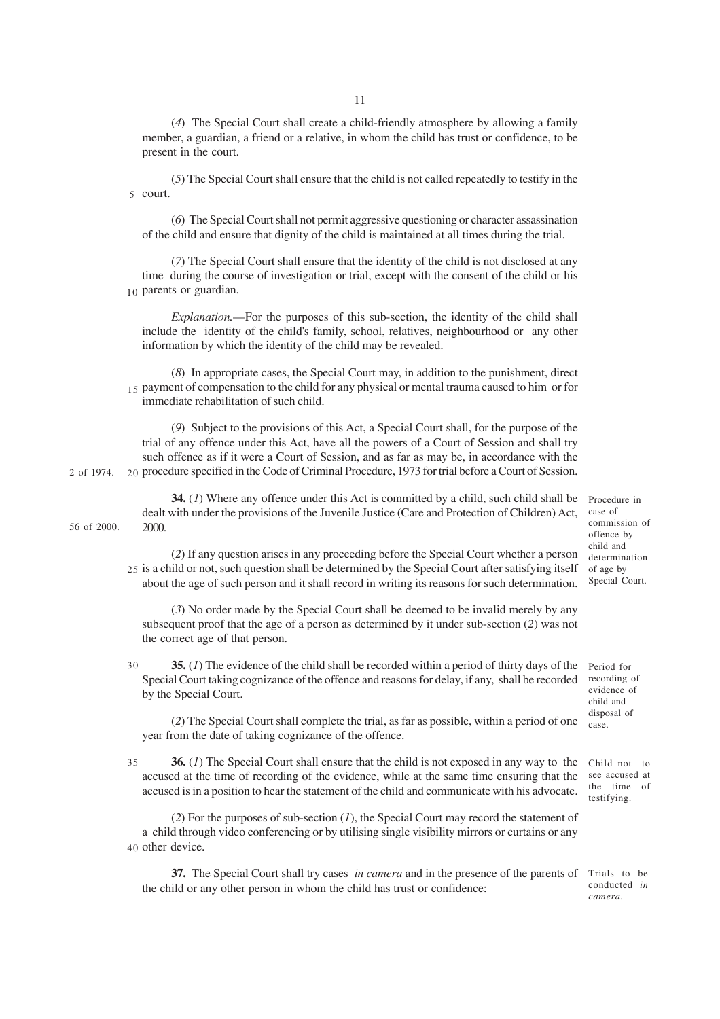(*4*) The Special Court shall create a child-friendly atmosphere by allowing a family member, a guardian, a friend or a relative, in whom the child has trust or confidence, to be present in the court.

(*5*) The Special Court shall ensure that the child is not called repeatedly to testify in the 5 court.

(*6*) The Special Court shall not permit aggressive questioning or character assassination of the child and ensure that dignity of the child is maintained at all times during the trial.

(*7*) The Special Court shall ensure that the identity of the child is not disclosed at any time during the course of investigation or trial, except with the consent of the child or his 10 parents or guardian.

*Explanation.*—For the purposes of this sub-section, the identity of the child shall include the identity of the child's family, school, relatives, neighbourhood or any other information by which the identity of the child may be revealed.

(*8*) In appropriate cases, the Special Court may, in addition to the punishment, direct 15 payment of compensation to the child for any physical or mental trauma caused to him or for immediate rehabilitation of such child.

(*9*) Subject to the provisions of this Act, a Special Court shall, for the purpose of the trial of any offence under this Act, have all the powers of a Court of Session and shall try such offence as if it were a Court of Session, and as far as may be, in accordance with the 20 procedure specified in the Code of Criminal Procedure, 1973 for trial before a Court of Session.

**34.** (*1*) Where any offence under this Act is committed by a child, such child shall be dealt with under the provisions of the Juvenile Justice (Care and Protection of Children) Act, case of 2000. 56 of 2000.

Procedure in commission of offence by child and determination of age by Special Court.

(*2*) If any question arises in any proceeding before the Special Court whether a person 25 is a child or not, such question shall be determined by the Special Court after satisfying itself about the age of such person and it shall record in writing its reasons for such determination.

(*3*) No order made by the Special Court shall be deemed to be invalid merely by any subsequent proof that the age of a person as determined by it under sub-section (*2*) was not the correct age of that person.

**35.** (*1*) The evidence of the child shall be recorded within a period of thirty days of the Special Court taking cognizance of the offence and reasons for delay, if any, shall be recorded by the Special Court. Period for recording of evidence of child and 30

(*2*) The Special Court shall complete the trial, as far as possible, within a period of one year from the date of taking cognizance of the offence.

**36.** (*1*) The Special Court shall ensure that the child is not exposed in any way to the accused at the time of recording of the evidence, while at the same time ensuring that the accused is in a position to hear the statement of the child and communicate with his advocate. 35

(*2*) For the purposes of sub-section (*1*), the Special Court may record the statement of a child through video conferencing or by utilising single visibility mirrors or curtains or any 40 other device.

**37.** The Special Court shall try cases *in camera* and in the presence of the parents of Trials to be the child or any other person in whom the child has trust or confidence:

Child not to see accused at the time of testifying.

disposal of case.

conducted *in camera.*

2 of 1974.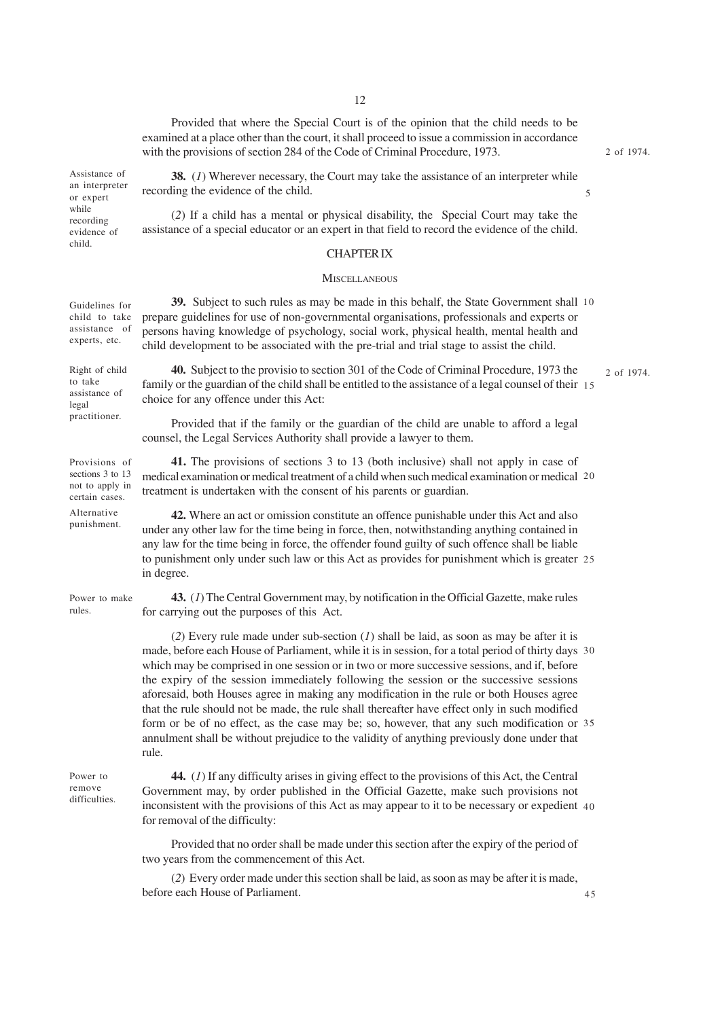Provided that where the Special Court is of the opinion that the child needs to be examined at a place other than the court, it shall proceed to issue a commission in accordance with the provisions of section 284 of the Code of Criminal Procedure, 1973.

2 of 1974.

5

Assistance of an interpreter or expert while recording evidence of child.

**38.** (*1*) Wherever necessary, the Court may take the assistance of an interpreter while recording the evidence of the child.

(*2*) If a child has a mental or physical disability, the Special Court may take the assistance of a special educator or an expert in that field to record the evidence of the child.

### CHAPTER IX

#### **MISCELLANEOUS**

**39.** Subject to such rules as may be made in this behalf, the State Government shall 10 prepare guidelines for use of non-governmental organisations, professionals and experts or persons having knowledge of psychology, social work, physical health, mental health and child development to be associated with the pre-trial and trial stage to assist the child. Guidelines for child to take assistance of experts, etc.

Right of child to take assistance of legal practitioner.

**40.** Subject to the provisio to section 301 of the Code of Criminal Procedure, 1973 the family or the guardian of the child shall be entitled to the assistance of a legal counsel of their 15 choice for any offence under this Act:

Provided that if the family or the guardian of the child are unable to afford a legal counsel, the Legal Services Authority shall provide a lawyer to them.

**41.** The provisions of sections 3 to 13 (both inclusive) shall not apply in case of medical examination or medical treatment of a child when such medical examination or medical 20 treatment is undertaken with the consent of his parents or guardian. Provisions of sections 3 to 13 not to apply in certain cases.

Alternative punishment.

rules.

**42.** Where an act or omission constitute an offence punishable under this Act and also under any other law for the time being in force, then, notwithstanding anything contained in any law for the time being in force, the offender found guilty of such offence shall be liable to punishment only under such law or this Act as provides for punishment which is greater 25 in degree.

**43.** (*1*) The Central Government may, by notification in the Official Gazette, make rules for carrying out the purposes of this Act. Power to make

> (*2*) Every rule made under sub-section (*1*) shall be laid, as soon as may be after it is made, before each House of Parliament, while it is in session, for a total period of thirty days 30 which may be comprised in one session or in two or more successive sessions, and if, before the expiry of the session immediately following the session or the successive sessions aforesaid, both Houses agree in making any modification in the rule or both Houses agree that the rule should not be made, the rule shall thereafter have effect only in such modified form or be of no effect, as the case may be; so, however, that any such modification or 35 annulment shall be without prejudice to the validity of anything previously done under that rule.

Power to remove difficulties.

**44.** (*1*) If any difficulty arises in giving effect to the provisions of this Act, the Central Government may, by order published in the Official Gazette, make such provisions not inconsistent with the provisions of this Act as may appear to it to be necessary or expedient 40 for removal of the difficulty:

Provided that no order shall be made under this section after the expiry of the period of two years from the commencement of this Act.

(*2*) Every order made under this section shall be laid, as soon as may be after it is made, before each House of Parliament.

2 of 1974.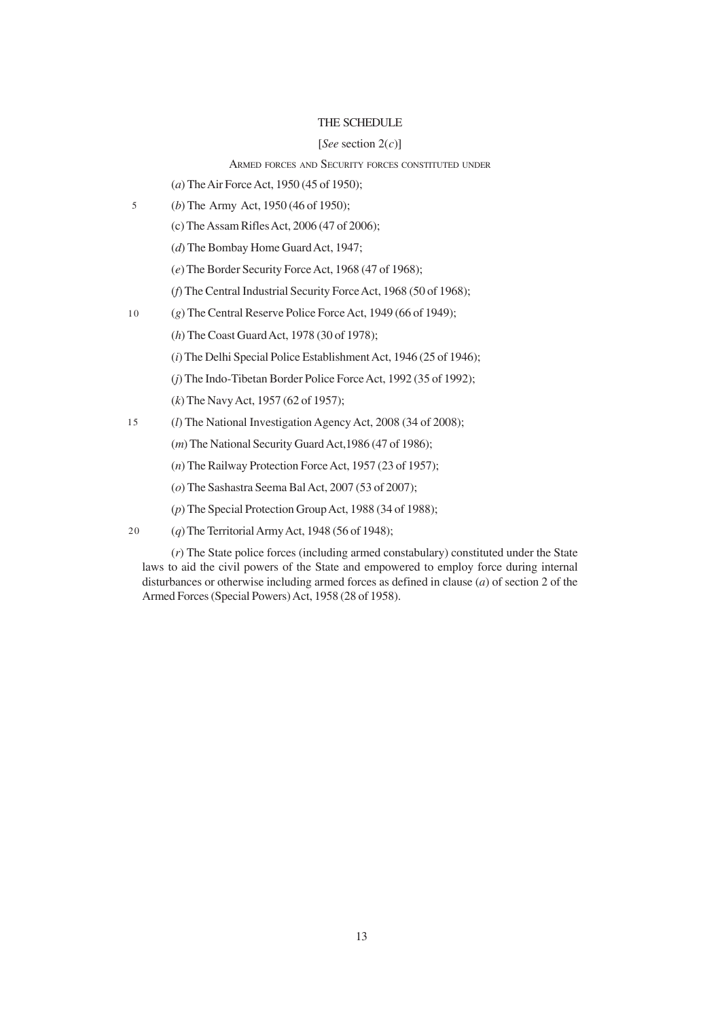# THE SCHEDULE

### [*See* section 2(*c*)]

# ARMED FORCES AND SECURITY FORCES CONSTITUTED UNDER

- (*a*) The Air Force Act, 1950 (45 of 1950);
- (*b*) The Army Act, 1950 (46 of 1950); 5
	- (c) The Assam Rifles Act, 2006 (47 of 2006);
	- (*d*) The Bombay Home Guard Act, 1947;
	- (*e*) The Border Security Force Act, 1968 (47 of 1968);
	- (*f*) The Central Industrial Security Force Act, 1968 (50 of 1968);
- (*g*) The Central Reserve Police Force Act, 1949 (66 of 1949); 10
	- (*h*) The Coast Guard Act, 1978 (30 of 1978);
	- (*i*) The Delhi Special Police Establishment Act, 1946 (25 of 1946);
	- (*j*) The Indo-Tibetan Border Police Force Act, 1992 (35 of 1992);
	- (*k*) The Navy Act, 1957 (62 of 1957);
- (*l*) The National Investigation Agency Act, 2008 (34 of 2008); 15
	- (*m*) The National Security Guard Act,1986 (47 of 1986);
	- (*n*) The Railway Protection Force Act, 1957 (23 of 1957);
	- (*o*) The Sashastra Seema Bal Act, 2007 (53 of 2007);
	- (*p*) The Special Protection Group Act, 1988 (34 of 1988);
- (*q*) The Territorial Army Act, 1948 (56 of 1948); 20

(*r*) The State police forces (including armed constabulary) constituted under the State laws to aid the civil powers of the State and empowered to employ force during internal disturbances or otherwise including armed forces as defined in clause (*a*) of section 2 of the Armed Forces (Special Powers) Act, 1958 (28 of 1958).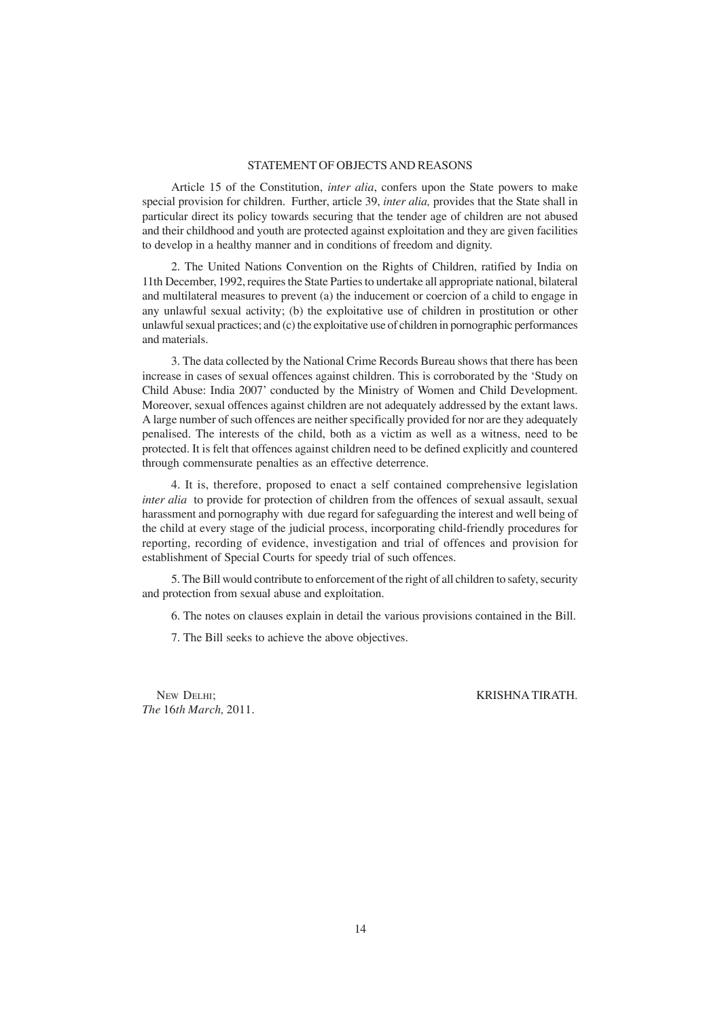# STATEMENT OF OBJECTS AND REASONS

Article 15 of the Constitution, *inter alia*, confers upon the State powers to make special provision for children. Further, article 39, *inter alia,* provides that the State shall in particular direct its policy towards securing that the tender age of children are not abused and their childhood and youth are protected against exploitation and they are given facilities to develop in a healthy manner and in conditions of freedom and dignity.

2. The United Nations Convention on the Rights of Children, ratified by India on 11th December, 1992, requires the State Parties to undertake all appropriate national, bilateral and multilateral measures to prevent (a) the inducement or coercion of a child to engage in any unlawful sexual activity; (b) the exploitative use of children in prostitution or other unlawful sexual practices; and (c) the exploitative use of children in pornographic performances and materials.

3. The data collected by the National Crime Records Bureau shows that there has been increase in cases of sexual offences against children. This is corroborated by the 'Study on Child Abuse: India 2007' conducted by the Ministry of Women and Child Development. Moreover, sexual offences against children are not adequately addressed by the extant laws. A large number of such offences are neither specifically provided for nor are they adequately penalised. The interests of the child, both as a victim as well as a witness, need to be protected. It is felt that offences against children need to be defined explicitly and countered through commensurate penalties as an effective deterrence.

4. It is, therefore, proposed to enact a self contained comprehensive legislation *inter alia* to provide for protection of children from the offences of sexual assault, sexual harassment and pornography with due regard for safeguarding the interest and well being of the child at every stage of the judicial process, incorporating child-friendly procedures for reporting, recording of evidence, investigation and trial of offences and provision for establishment of Special Courts for speedy trial of such offences.

5. The Bill would contribute to enforcement of the right of all children to safety, security and protection from sexual abuse and exploitation.

6. The notes on clauses explain in detail the various provisions contained in the Bill.

7. The Bill seeks to achieve the above objectives.

*The* 16*th March,* 2011.

NEW DELHI; KRISHNA TIRATH.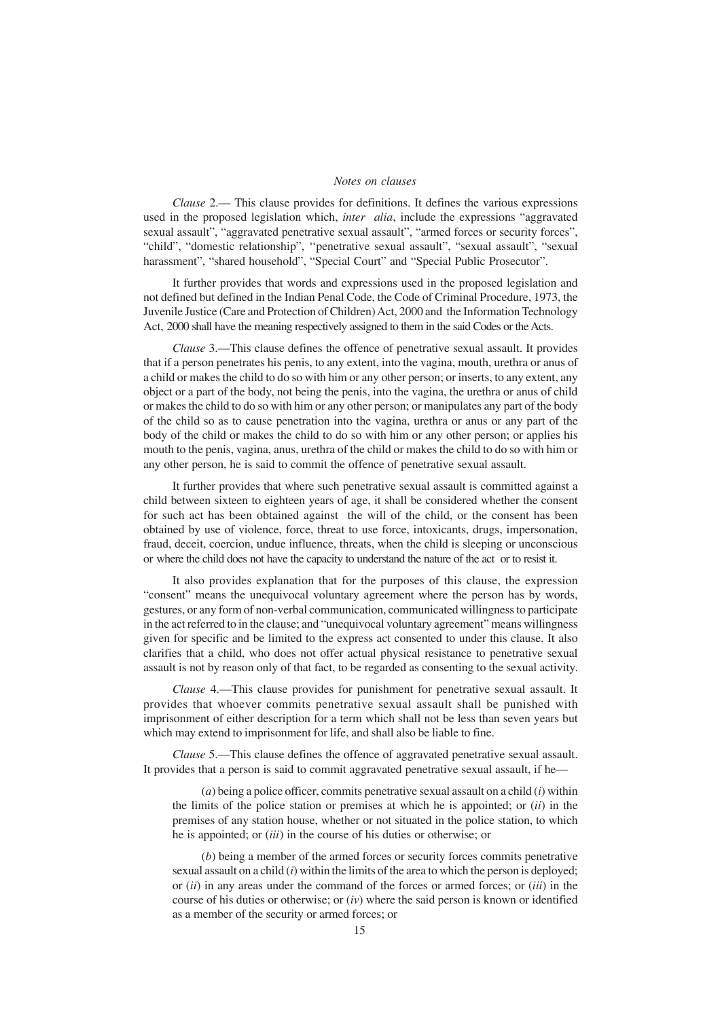## *Notes on clauses*

*Clause* 2.— This clause provides for definitions. It defines the various expressions used in the proposed legislation which, *inter alia*, include the expressions "aggravated sexual assault", "aggravated penetrative sexual assault", "armed forces or security forces", "child", "domestic relationship", ''penetrative sexual assault", "sexual assault", "sexual harassment", "shared household", "Special Court" and "Special Public Prosecutor".

It further provides that words and expressions used in the proposed legislation and not defined but defined in the Indian Penal Code, the Code of Criminal Procedure, 1973, the Juvenile Justice (Care and Protection of Children) Act, 2000 and the Information Technology Act, 2000 shall have the meaning respectively assigned to them in the said Codes or the Acts.

*Clause* 3.—This clause defines the offence of penetrative sexual assault. It provides that if a person penetrates his penis, to any extent, into the vagina, mouth, urethra or anus of a child or makes the child to do so with him or any other person; or inserts, to any extent, any object or a part of the body, not being the penis, into the vagina, the urethra or anus of child or makes the child to do so with him or any other person; or manipulates any part of the body of the child so as to cause penetration into the vagina, urethra or anus or any part of the body of the child or makes the child to do so with him or any other person; or applies his mouth to the penis, vagina, anus, urethra of the child or makes the child to do so with him or any other person, he is said to commit the offence of penetrative sexual assault.

It further provides that where such penetrative sexual assault is committed against a child between sixteen to eighteen years of age, it shall be considered whether the consent for such act has been obtained against the will of the child, or the consent has been obtained by use of violence, force, threat to use force, intoxicants, drugs, impersonation, fraud, deceit, coercion, undue influence, threats, when the child is sleeping or unconscious or where the child does not have the capacity to understand the nature of the act or to resist it.

It also provides explanation that for the purposes of this clause, the expression "consent" means the unequivocal voluntary agreement where the person has by words, gestures, or any form of non-verbal communication, communicated willingness to participate in the act referred to in the clause; and "unequivocal voluntary agreement" means willingness given for specific and be limited to the express act consented to under this clause. It also clarifies that a child, who does not offer actual physical resistance to penetrative sexual assault is not by reason only of that fact, to be regarded as consenting to the sexual activity.

*Clause* 4.—This clause provides for punishment for penetrative sexual assault. It provides that whoever commits penetrative sexual assault shall be punished with imprisonment of either description for a term which shall not be less than seven years but which may extend to imprisonment for life, and shall also be liable to fine.

*Clause* 5.—This clause defines the offence of aggravated penetrative sexual assault. It provides that a person is said to commit aggravated penetrative sexual assault, if he—

(*a*) being a police officer, commits penetrative sexual assault on a child (*i*) within the limits of the police station or premises at which he is appointed; or (*ii*) in the premises of any station house, whether or not situated in the police station, to which he is appointed; or (*iii*) in the course of his duties or otherwise; or

(*b*) being a member of the armed forces or security forces commits penetrative sexual assault on a child (*i*) within the limits of the area to which the person is deployed; or (*ii*) in any areas under the command of the forces or armed forces; or (*iii*) in the course of his duties or otherwise; or  $(iv)$  where the said person is known or identified as a member of the security or armed forces; or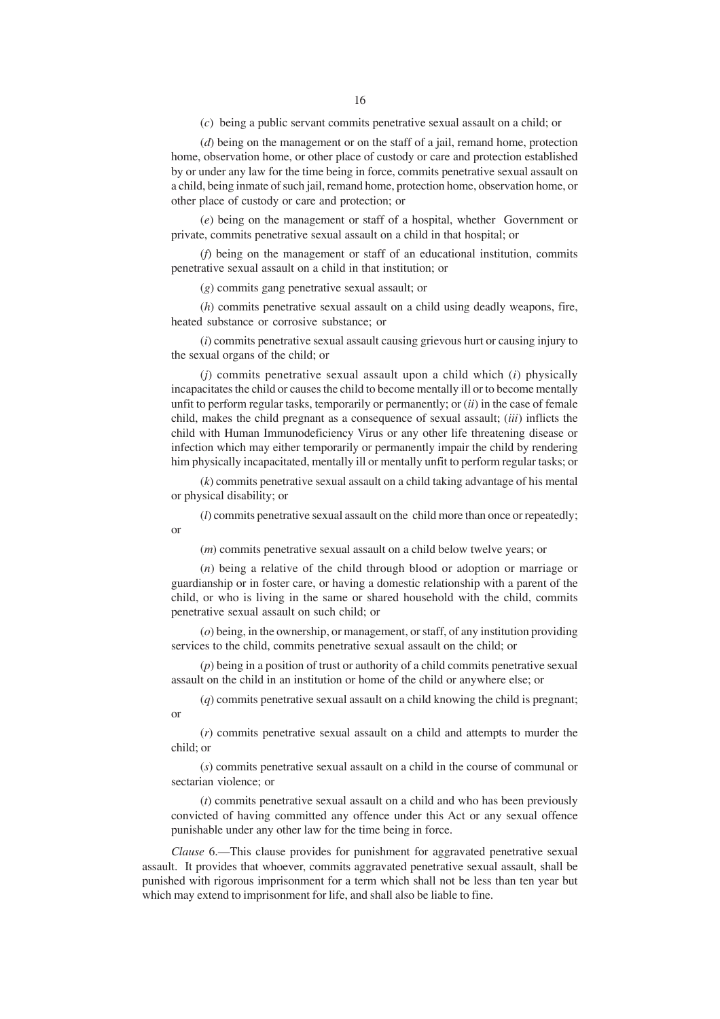(*c*) being a public servant commits penetrative sexual assault on a child; or

(*d*) being on the management or on the staff of a jail, remand home, protection home, observation home, or other place of custody or care and protection established by or under any law for the time being in force, commits penetrative sexual assault on a child, being inmate of such jail, remand home, protection home, observation home, or other place of custody or care and protection; or

(*e*) being on the management or staff of a hospital, whether Government or private, commits penetrative sexual assault on a child in that hospital; or

(*f*) being on the management or staff of an educational institution, commits penetrative sexual assault on a child in that institution; or

(*g*) commits gang penetrative sexual assault; or

(*h*) commits penetrative sexual assault on a child using deadly weapons, fire, heated substance or corrosive substance; or

(*i*) commits penetrative sexual assault causing grievous hurt or causing injury to the sexual organs of the child; or

(*j*) commits penetrative sexual assault upon a child which (*i*) physically incapacitates the child or causes the child to become mentally ill or to become mentally unfit to perform regular tasks, temporarily or permanently; or (*ii*) in the case of female child, makes the child pregnant as a consequence of sexual assault; (*iii*) inflicts the child with Human Immunodeficiency Virus or any other life threatening disease or infection which may either temporarily or permanently impair the child by rendering him physically incapacitated, mentally ill or mentally unfit to perform regular tasks; or

(*k*) commits penetrative sexual assault on a child taking advantage of his mental or physical disability; or

(*l*) commits penetrative sexual assault on the child more than once or repeatedly; or

(*m*) commits penetrative sexual assault on a child below twelve years; or

(*n*) being a relative of the child through blood or adoption or marriage or guardianship or in foster care, or having a domestic relationship with a parent of the child, or who is living in the same or shared household with the child, commits penetrative sexual assault on such child; or

(*o*) being, in the ownership, or management, or staff, of any institution providing services to the child, commits penetrative sexual assault on the child; or

(*p*) being in a position of trust or authority of a child commits penetrative sexual assault on the child in an institution or home of the child or anywhere else; or

(*q*) commits penetrative sexual assault on a child knowing the child is pregnant; or

(*r*) commits penetrative sexual assault on a child and attempts to murder the child; or

(*s*) commits penetrative sexual assault on a child in the course of communal or sectarian violence; or

(*t*) commits penetrative sexual assault on a child and who has been previously convicted of having committed any offence under this Act or any sexual offence punishable under any other law for the time being in force.

*Clause* 6.—This clause provides for punishment for aggravated penetrative sexual assault. It provides that whoever, commits aggravated penetrative sexual assault, shall be punished with rigorous imprisonment for a term which shall not be less than ten year but which may extend to imprisonment for life, and shall also be liable to fine.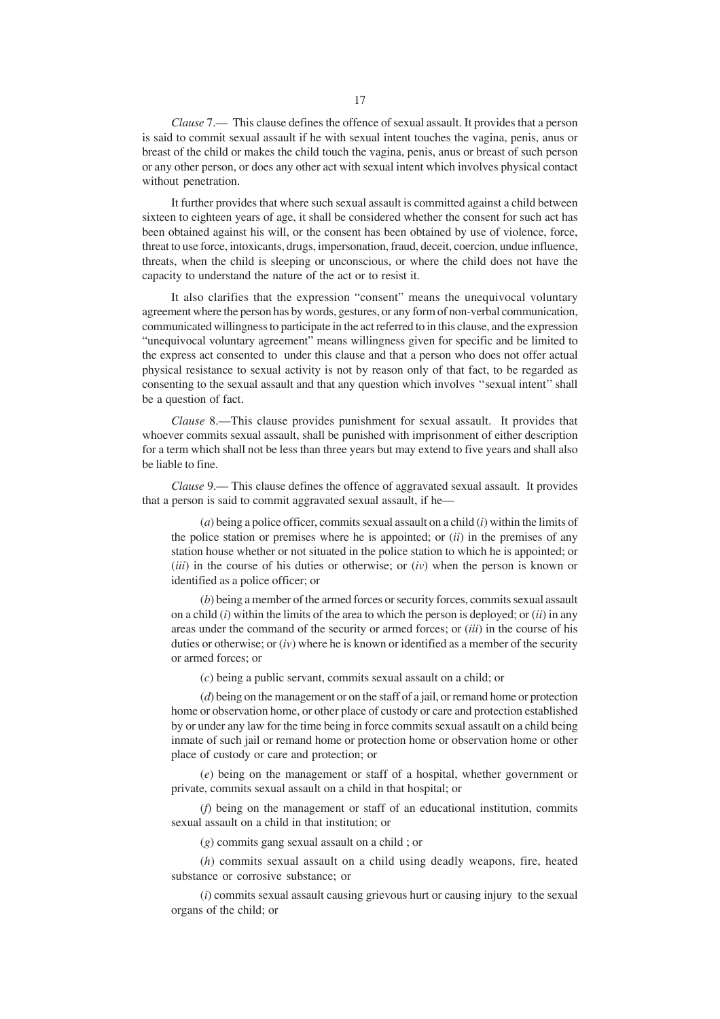*Clause* 7.— This clause defines the offence of sexual assault. It provides that a person is said to commit sexual assault if he with sexual intent touches the vagina, penis, anus or breast of the child or makes the child touch the vagina, penis, anus or breast of such person or any other person, or does any other act with sexual intent which involves physical contact without penetration.

It further provides that where such sexual assault is committed against a child between sixteen to eighteen years of age, it shall be considered whether the consent for such act has been obtained against his will, or the consent has been obtained by use of violence, force, threat to use force, intoxicants, drugs, impersonation, fraud, deceit, coercion, undue influence, threats, when the child is sleeping or unconscious, or where the child does not have the capacity to understand the nature of the act or to resist it.

It also clarifies that the expression "consent" means the unequivocal voluntary agreement where the person has by words, gestures, or any form of non-verbal communication, communicated willingness to participate in the act referred to in this clause, and the expression "unequivocal voluntary agreement" means willingness given for specific and be limited to the express act consented to under this clause and that a person who does not offer actual physical resistance to sexual activity is not by reason only of that fact, to be regarded as consenting to the sexual assault and that any question which involves ''sexual intent'' shall be a question of fact.

*Clause* 8.—This clause provides punishment for sexual assault. It provides that whoever commits sexual assault, shall be punished with imprisonment of either description for a term which shall not be less than three years but may extend to five years and shall also be liable to fine.

*Clause* 9.— This clause defines the offence of aggravated sexual assault. It provides that a person is said to commit aggravated sexual assault, if he—

(*a*) being a police officer, commits sexual assault on a child (*i*) within the limits of the police station or premises where he is appointed; or (*ii*) in the premises of any station house whether or not situated in the police station to which he is appointed; or (*iii*) in the course of his duties or otherwise; or (*iv*) when the person is known or identified as a police officer; or

(*b*) being a member of the armed forces or security forces, commits sexual assault on a child (*i*) within the limits of the area to which the person is deployed; or (*ii*) in any areas under the command of the security or armed forces; or (*iii*) in the course of his duties or otherwise; or (*iv*) where he is known or identified as a member of the security or armed forces; or

(*c*) being a public servant, commits sexual assault on a child; or

(*d*) being on the management or on the staff of a jail, or remand home or protection home or observation home, or other place of custody or care and protection established by or under any law for the time being in force commits sexual assault on a child being inmate of such jail or remand home or protection home or observation home or other place of custody or care and protection; or

(*e*) being on the management or staff of a hospital, whether government or private, commits sexual assault on a child in that hospital; or

(*f*) being on the management or staff of an educational institution, commits sexual assault on a child in that institution; or

(*g*) commits gang sexual assault on a child ; or

(*h*) commits sexual assault on a child using deadly weapons, fire, heated substance or corrosive substance; or

(*i*) commits sexual assault causing grievous hurt or causing injury to the sexual organs of the child; or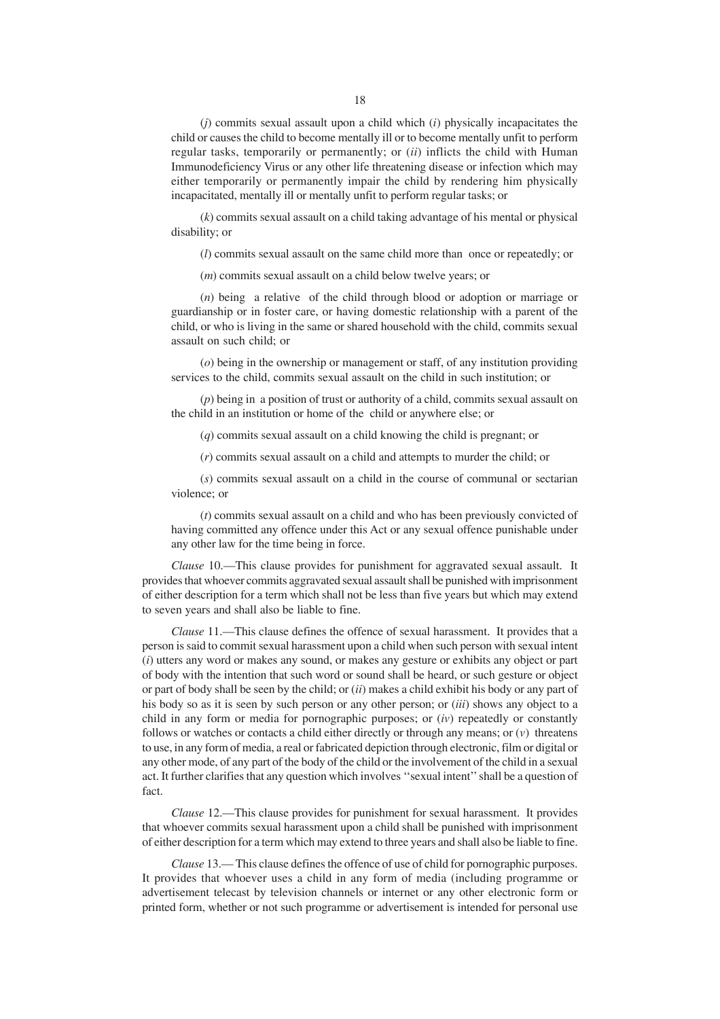(*j*) commits sexual assault upon a child which (*i*) physically incapacitates the child or causes the child to become mentally ill or to become mentally unfit to perform regular tasks, temporarily or permanently; or (*ii*) inflicts the child with Human Immunodeficiency Virus or any other life threatening disease or infection which may either temporarily or permanently impair the child by rendering him physically incapacitated, mentally ill or mentally unfit to perform regular tasks; or

(*k*) commits sexual assault on a child taking advantage of his mental or physical disability; or

(*l*) commits sexual assault on the same child more than once or repeatedly; or

(*m*) commits sexual assault on a child below twelve years; or

(*n*) being a relative of the child through blood or adoption or marriage or guardianship or in foster care, or having domestic relationship with a parent of the child, or who is living in the same or shared household with the child, commits sexual assault on such child; or

(*o*) being in the ownership or management or staff, of any institution providing services to the child, commits sexual assault on the child in such institution; or

(*p*) being in a position of trust or authority of a child, commits sexual assault on the child in an institution or home of the child or anywhere else; or

(*q*) commits sexual assault on a child knowing the child is pregnant; or

(*r*) commits sexual assault on a child and attempts to murder the child; or

(*s*) commits sexual assault on a child in the course of communal or sectarian violence; or

(*t*) commits sexual assault on a child and who has been previously convicted of having committed any offence under this Act or any sexual offence punishable under any other law for the time being in force.

*Clause* 10.—This clause provides for punishment for aggravated sexual assault. It provides that whoever commits aggravated sexual assault shall be punished with imprisonment of either description for a term which shall not be less than five years but which may extend to seven years and shall also be liable to fine.

*Clause* 11.—This clause defines the offence of sexual harassment. It provides that a person is said to commit sexual harassment upon a child when such person with sexual intent (*i*) utters any word or makes any sound, or makes any gesture or exhibits any object or part of body with the intention that such word or sound shall be heard, or such gesture or object or part of body shall be seen by the child; or (*ii*) makes a child exhibit his body or any part of his body so as it is seen by such person or any other person; or (*iii*) shows any object to a child in any form or media for pornographic purposes; or (*iv*) repeatedly or constantly follows or watches or contacts a child either directly or through any means; or (*v*) threatens to use, in any form of media, a real or fabricated depiction through electronic, film or digital or any other mode, of any part of the body of the child or the involvement of the child in a sexual act. It further clarifies that any question which involves ''sexual intent'' shall be a question of fact.

*Clause* 12.—This clause provides for punishment for sexual harassment. It provides that whoever commits sexual harassment upon a child shall be punished with imprisonment of either description for a term which may extend to three years and shall also be liable to fine.

*Clause* 13.— This clause defines the offence of use of child for pornographic purposes. It provides that whoever uses a child in any form of media (including programme or advertisement telecast by television channels or internet or any other electronic form or printed form, whether or not such programme or advertisement is intended for personal use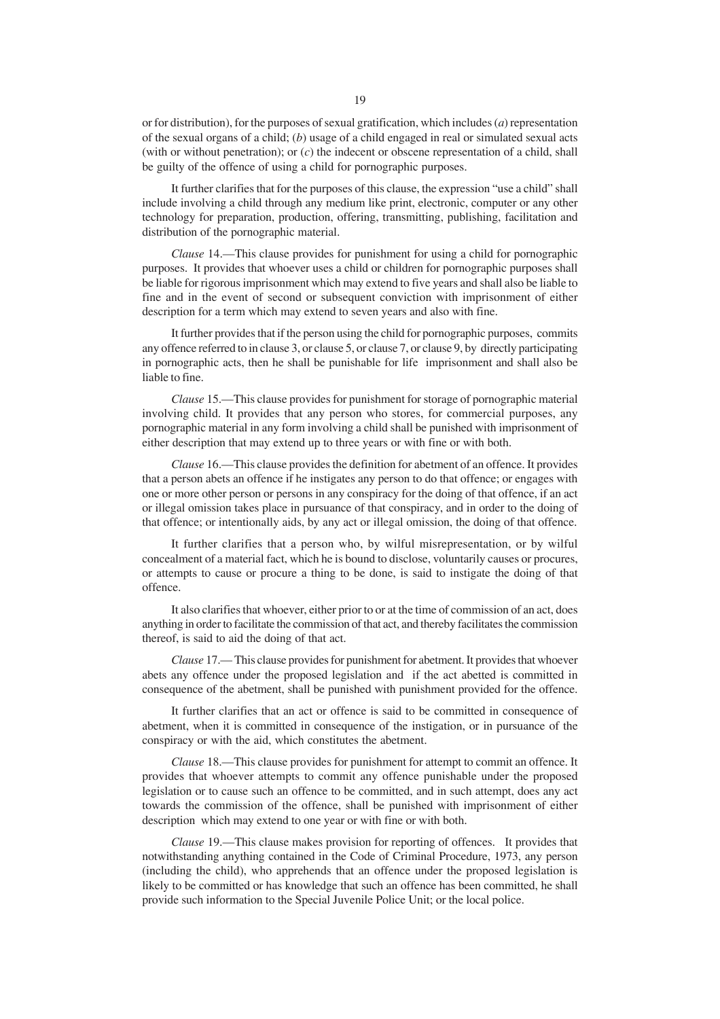or for distribution), for the purposes of sexual gratification, which includes (*a*) representation of the sexual organs of a child; (*b*) usage of a child engaged in real or simulated sexual acts (with or without penetration); or (*c*) the indecent or obscene representation of a child, shall be guilty of the offence of using a child for pornographic purposes.

It further clarifies that for the purposes of this clause, the expression "use a child" shall include involving a child through any medium like print, electronic, computer or any other technology for preparation, production, offering, transmitting, publishing, facilitation and distribution of the pornographic material.

*Clause* 14.—This clause provides for punishment for using a child for pornographic purposes. It provides that whoever uses a child or children for pornographic purposes shall be liable for rigorous imprisonment which may extend to five years and shall also be liable to fine and in the event of second or subsequent conviction with imprisonment of either description for a term which may extend to seven years and also with fine.

It further provides that if the person using the child for pornographic purposes, commits any offence referred to in clause 3, or clause 5, or clause 7, or clause 9, by directly participating in pornographic acts, then he shall be punishable for life imprisonment and shall also be liable to fine.

*Clause* 15.—This clause provides for punishment for storage of pornographic material involving child. It provides that any person who stores, for commercial purposes, any pornographic material in any form involving a child shall be punished with imprisonment of either description that may extend up to three years or with fine or with both.

*Clause* 16.—This clause provides the definition for abetment of an offence. It provides that a person abets an offence if he instigates any person to do that offence; or engages with one or more other person or persons in any conspiracy for the doing of that offence, if an act or illegal omission takes place in pursuance of that conspiracy, and in order to the doing of that offence; or intentionally aids, by any act or illegal omission, the doing of that offence.

It further clarifies that a person who, by wilful misrepresentation, or by wilful concealment of a material fact, which he is bound to disclose, voluntarily causes or procures, or attempts to cause or procure a thing to be done, is said to instigate the doing of that offence.

It also clarifies that whoever, either prior to or at the time of commission of an act, does anything in order to facilitate the commission of that act, and thereby facilitates the commission thereof, is said to aid the doing of that act.

*Clause* 17.— This clause provides for punishment for abetment. It provides that whoever abets any offence under the proposed legislation and if the act abetted is committed in consequence of the abetment, shall be punished with punishment provided for the offence.

It further clarifies that an act or offence is said to be committed in consequence of abetment, when it is committed in consequence of the instigation, or in pursuance of the conspiracy or with the aid, which constitutes the abetment.

*Clause* 18.—This clause provides for punishment for attempt to commit an offence. It provides that whoever attempts to commit any offence punishable under the proposed legislation or to cause such an offence to be committed, and in such attempt, does any act towards the commission of the offence, shall be punished with imprisonment of either description which may extend to one year or with fine or with both.

*Clause* 19.—This clause makes provision for reporting of offences. It provides that notwithstanding anything contained in the Code of Criminal Procedure, 1973, any person (including the child), who apprehends that an offence under the proposed legislation is likely to be committed or has knowledge that such an offence has been committed, he shall provide such information to the Special Juvenile Police Unit; or the local police.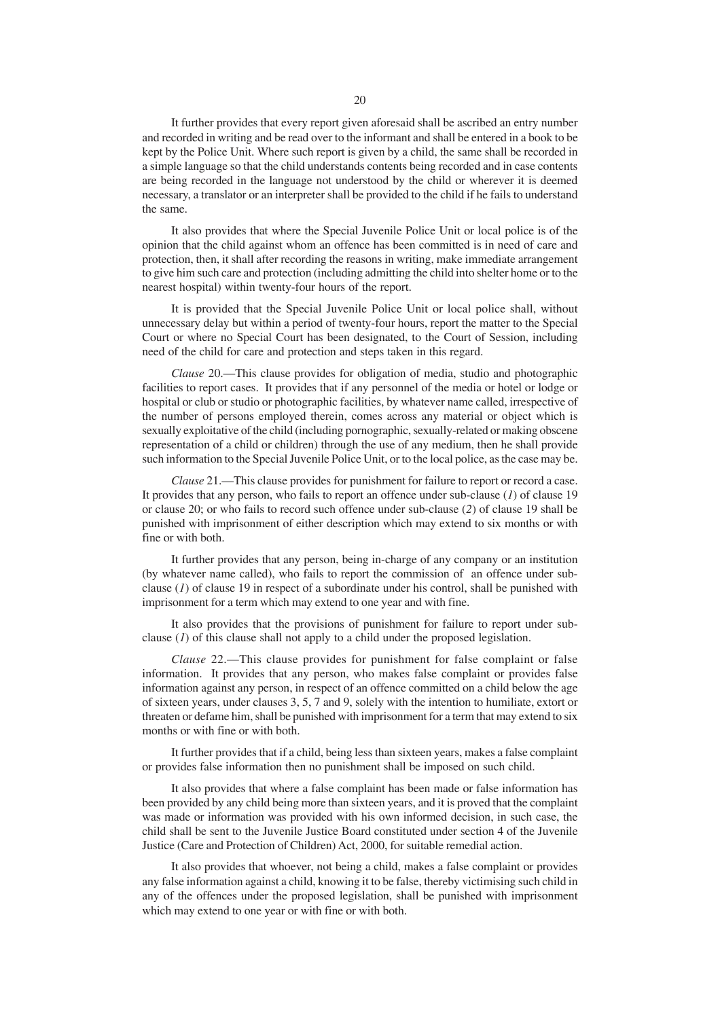It further provides that every report given aforesaid shall be ascribed an entry number and recorded in writing and be read over to the informant and shall be entered in a book to be kept by the Police Unit. Where such report is given by a child, the same shall be recorded in a simple language so that the child understands contents being recorded and in case contents are being recorded in the language not understood by the child or wherever it is deemed necessary, a translator or an interpreter shall be provided to the child if he fails to understand the same.

It also provides that where the Special Juvenile Police Unit or local police is of the opinion that the child against whom an offence has been committed is in need of care and protection, then, it shall after recording the reasons in writing, make immediate arrangement to give him such care and protection (including admitting the child into shelter home or to the nearest hospital) within twenty-four hours of the report.

It is provided that the Special Juvenile Police Unit or local police shall, without unnecessary delay but within a period of twenty-four hours, report the matter to the Special Court or where no Special Court has been designated, to the Court of Session, including need of the child for care and protection and steps taken in this regard.

*Clause* 20.—This clause provides for obligation of media, studio and photographic facilities to report cases. It provides that if any personnel of the media or hotel or lodge or hospital or club or studio or photographic facilities, by whatever name called, irrespective of the number of persons employed therein, comes across any material or object which is sexually exploitative of the child (including pornographic, sexually-related or making obscene representation of a child or children) through the use of any medium, then he shall provide such information to the Special Juvenile Police Unit, or to the local police, as the case may be.

*Clause* 21.—This clause provides for punishment for failure to report or record a case. It provides that any person, who fails to report an offence under sub-clause (*1*) of clause 19 or clause 20; or who fails to record such offence under sub-clause (*2*) of clause 19 shall be punished with imprisonment of either description which may extend to six months or with fine or with both.

It further provides that any person, being in-charge of any company or an institution (by whatever name called), who fails to report the commission of an offence under subclause  $(1)$  of clause 19 in respect of a subordinate under his control, shall be punished with imprisonment for a term which may extend to one year and with fine.

It also provides that the provisions of punishment for failure to report under subclause (*1*) of this clause shall not apply to a child under the proposed legislation.

*Clause* 22.—This clause provides for punishment for false complaint or false information. It provides that any person, who makes false complaint or provides false information against any person, in respect of an offence committed on a child below the age of sixteen years, under clauses 3, 5, 7 and 9, solely with the intention to humiliate, extort or threaten or defame him, shall be punished with imprisonment for a term that may extend to six months or with fine or with both.

It further provides that if a child, being less than sixteen years, makes a false complaint or provides false information then no punishment shall be imposed on such child.

It also provides that where a false complaint has been made or false information has been provided by any child being more than sixteen years, and it is proved that the complaint was made or information was provided with his own informed decision, in such case, the child shall be sent to the Juvenile Justice Board constituted under section 4 of the Juvenile Justice (Care and Protection of Children) Act, 2000, for suitable remedial action.

It also provides that whoever, not being a child, makes a false complaint or provides any false information against a child, knowing it to be false, thereby victimising such child in any of the offences under the proposed legislation, shall be punished with imprisonment which may extend to one year or with fine or with both.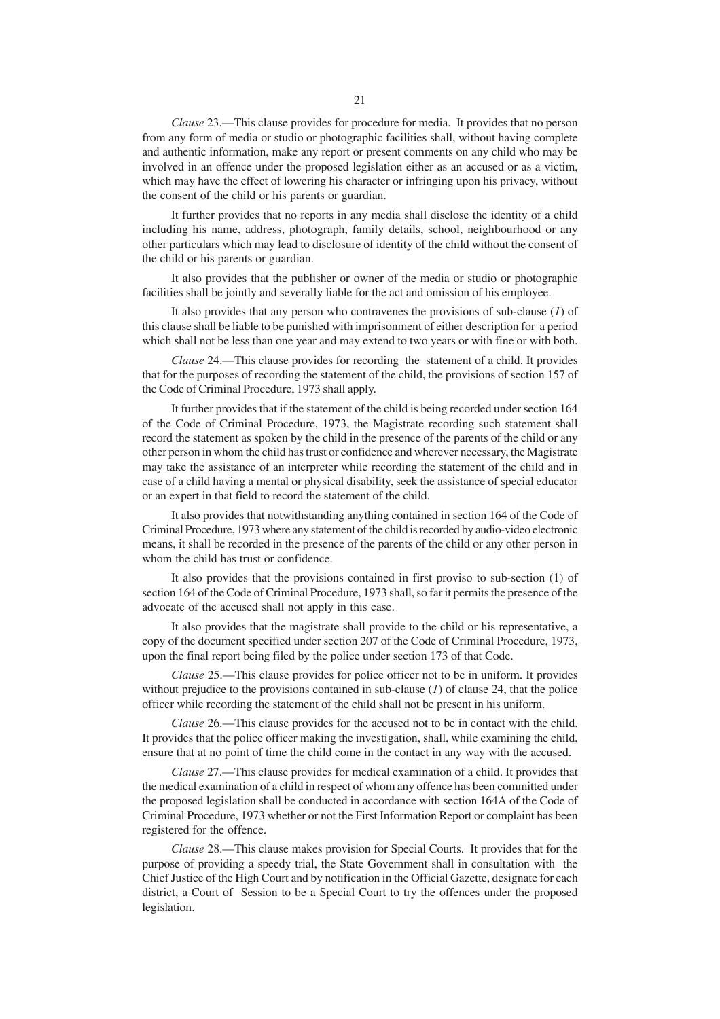*Clause* 23.—This clause provides for procedure for media. It provides that no person from any form of media or studio or photographic facilities shall, without having complete and authentic information, make any report or present comments on any child who may be involved in an offence under the proposed legislation either as an accused or as a victim, which may have the effect of lowering his character or infringing upon his privacy, without the consent of the child or his parents or guardian.

It further provides that no reports in any media shall disclose the identity of a child including his name, address, photograph, family details, school, neighbourhood or any other particulars which may lead to disclosure of identity of the child without the consent of the child or his parents or guardian.

It also provides that the publisher or owner of the media or studio or photographic facilities shall be jointly and severally liable for the act and omission of his employee.

It also provides that any person who contravenes the provisions of sub-clause (*1*) of this clause shall be liable to be punished with imprisonment of either description for a period which shall not be less than one year and may extend to two years or with fine or with both.

*Clause* 24.—This clause provides for recording the statement of a child. It provides that for the purposes of recording the statement of the child, the provisions of section 157 of the Code of Criminal Procedure, 1973 shall apply.

It further provides that if the statement of the child is being recorded under section 164 of the Code of Criminal Procedure, 1973, the Magistrate recording such statement shall record the statement as spoken by the child in the presence of the parents of the child or any other person in whom the child has trust or confidence and wherever necessary, the Magistrate may take the assistance of an interpreter while recording the statement of the child and in case of a child having a mental or physical disability, seek the assistance of special educator or an expert in that field to record the statement of the child.

It also provides that notwithstanding anything contained in section 164 of the Code of Criminal Procedure, 1973 where any statement of the child is recorded by audio-video electronic means, it shall be recorded in the presence of the parents of the child or any other person in whom the child has trust or confidence.

It also provides that the provisions contained in first proviso to sub-section (1) of section 164 of the Code of Criminal Procedure, 1973 shall, so far it permits the presence of the advocate of the accused shall not apply in this case.

It also provides that the magistrate shall provide to the child or his representative, a copy of the document specified under section 207 of the Code of Criminal Procedure, 1973, upon the final report being filed by the police under section 173 of that Code.

*Clause* 25.—This clause provides for police officer not to be in uniform. It provides without prejudice to the provisions contained in sub-clause (*1*) of clause 24, that the police officer while recording the statement of the child shall not be present in his uniform.

*Clause* 26.—This clause provides for the accused not to be in contact with the child. It provides that the police officer making the investigation, shall, while examining the child, ensure that at no point of time the child come in the contact in any way with the accused.

*Clause* 27.—This clause provides for medical examination of a child. It provides that the medical examination of a child in respect of whom any offence has been committed under the proposed legislation shall be conducted in accordance with section 164A of the Code of Criminal Procedure, 1973 whether or not the First Information Report or complaint has been registered for the offence.

*Clause* 28.—This clause makes provision for Special Courts. It provides that for the purpose of providing a speedy trial, the State Government shall in consultation with the Chief Justice of the High Court and by notification in the Official Gazette, designate for each district, a Court of Session to be a Special Court to try the offences under the proposed legislation.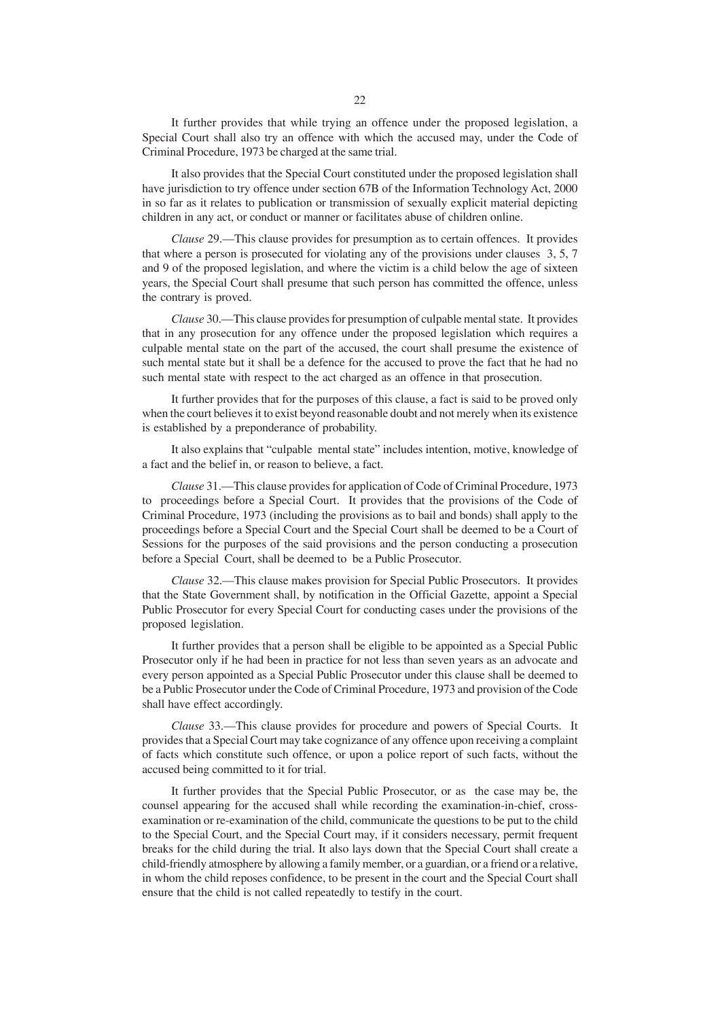It further provides that while trying an offence under the proposed legislation, a Special Court shall also try an offence with which the accused may, under the Code of Criminal Procedure, 1973 be charged at the same trial.

It also provides that the Special Court constituted under the proposed legislation shall have jurisdiction to try offence under section 67B of the Information Technology Act, 2000 in so far as it relates to publication or transmission of sexually explicit material depicting children in any act, or conduct or manner or facilitates abuse of children online.

*Clause* 29.—This clause provides for presumption as to certain offences. It provides that where a person is prosecuted for violating any of the provisions under clauses 3, 5, 7 and 9 of the proposed legislation, and where the victim is a child below the age of sixteen years, the Special Court shall presume that such person has committed the offence, unless the contrary is proved.

*Clause* 30.—This clause provides for presumption of culpable mental state. It provides that in any prosecution for any offence under the proposed legislation which requires a culpable mental state on the part of the accused, the court shall presume the existence of such mental state but it shall be a defence for the accused to prove the fact that he had no such mental state with respect to the act charged as an offence in that prosecution.

It further provides that for the purposes of this clause, a fact is said to be proved only when the court believes it to exist beyond reasonable doubt and not merely when its existence is established by a preponderance of probability.

It also explains that "culpable mental state" includes intention, motive, knowledge of a fact and the belief in, or reason to believe, a fact.

*Clause* 31.—This clause provides for application of Code of Criminal Procedure, 1973 to proceedings before a Special Court. It provides that the provisions of the Code of Criminal Procedure, 1973 (including the provisions as to bail and bonds) shall apply to the proceedings before a Special Court and the Special Court shall be deemed to be a Court of Sessions for the purposes of the said provisions and the person conducting a prosecution before a Special Court, shall be deemed to be a Public Prosecutor.

*Clause* 32.—This clause makes provision for Special Public Prosecutors. It provides that the State Government shall, by notification in the Official Gazette, appoint a Special Public Prosecutor for every Special Court for conducting cases under the provisions of the proposed legislation.

It further provides that a person shall be eligible to be appointed as a Special Public Prosecutor only if he had been in practice for not less than seven years as an advocate and every person appointed as a Special Public Prosecutor under this clause shall be deemed to be a Public Prosecutor under the Code of Criminal Procedure, 1973 and provision of the Code shall have effect accordingly.

*Clause* 33.—This clause provides for procedure and powers of Special Courts. It provides that a Special Court may take cognizance of any offence upon receiving a complaint of facts which constitute such offence, or upon a police report of such facts, without the accused being committed to it for trial.

It further provides that the Special Public Prosecutor, or as the case may be, the counsel appearing for the accused shall while recording the examination-in-chief, crossexamination or re-examination of the child, communicate the questions to be put to the child to the Special Court, and the Special Court may, if it considers necessary, permit frequent breaks for the child during the trial. It also lays down that the Special Court shall create a child-friendly atmosphere by allowing a family member, or a guardian, or a friend or a relative, in whom the child reposes confidence, to be present in the court and the Special Court shall ensure that the child is not called repeatedly to testify in the court.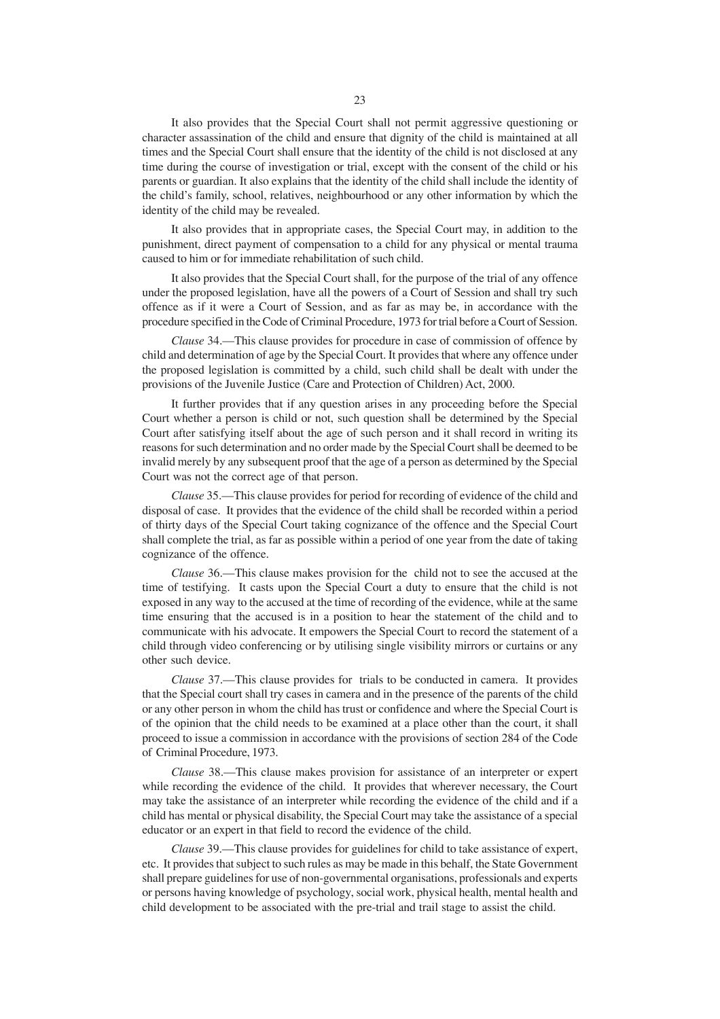It also provides that the Special Court shall not permit aggressive questioning or character assassination of the child and ensure that dignity of the child is maintained at all times and the Special Court shall ensure that the identity of the child is not disclosed at any time during the course of investigation or trial, except with the consent of the child or his parents or guardian. It also explains that the identity of the child shall include the identity of the child's family, school, relatives, neighbourhood or any other information by which the identity of the child may be revealed.

It also provides that in appropriate cases, the Special Court may, in addition to the punishment, direct payment of compensation to a child for any physical or mental trauma caused to him or for immediate rehabilitation of such child.

It also provides that the Special Court shall, for the purpose of the trial of any offence under the proposed legislation, have all the powers of a Court of Session and shall try such offence as if it were a Court of Session, and as far as may be, in accordance with the procedure specified in the Code of Criminal Procedure, 1973 for trial before a Court of Session.

*Clause* 34.—This clause provides for procedure in case of commission of offence by child and determination of age by the Special Court. It provides that where any offence under the proposed legislation is committed by a child, such child shall be dealt with under the provisions of the Juvenile Justice (Care and Protection of Children) Act, 2000.

It further provides that if any question arises in any proceeding before the Special Court whether a person is child or not, such question shall be determined by the Special Court after satisfying itself about the age of such person and it shall record in writing its reasons for such determination and no order made by the Special Court shall be deemed to be invalid merely by any subsequent proof that the age of a person as determined by the Special Court was not the correct age of that person.

*Clause* 35.—This clause provides for period for recording of evidence of the child and disposal of case. It provides that the evidence of the child shall be recorded within a period of thirty days of the Special Court taking cognizance of the offence and the Special Court shall complete the trial, as far as possible within a period of one year from the date of taking cognizance of the offence.

*Clause* 36.—This clause makes provision for the child not to see the accused at the time of testifying. It casts upon the Special Court a duty to ensure that the child is not exposed in any way to the accused at the time of recording of the evidence, while at the same time ensuring that the accused is in a position to hear the statement of the child and to communicate with his advocate. It empowers the Special Court to record the statement of a child through video conferencing or by utilising single visibility mirrors or curtains or any other such device.

*Clause* 37.—This clause provides for trials to be conducted in camera. It provides that the Special court shall try cases in camera and in the presence of the parents of the child or any other person in whom the child has trust or confidence and where the Special Court is of the opinion that the child needs to be examined at a place other than the court, it shall proceed to issue a commission in accordance with the provisions of section 284 of the Code of Criminal Procedure, 1973.

*Clause* 38.—This clause makes provision for assistance of an interpreter or expert while recording the evidence of the child. It provides that wherever necessary, the Court may take the assistance of an interpreter while recording the evidence of the child and if a child has mental or physical disability, the Special Court may take the assistance of a special educator or an expert in that field to record the evidence of the child.

*Clause* 39.—This clause provides for guidelines for child to take assistance of expert, etc. It provides that subject to such rules as may be made in this behalf, the State Government shall prepare guidelines for use of non-governmental organisations, professionals and experts or persons having knowledge of psychology, social work, physical health, mental health and child development to be associated with the pre-trial and trail stage to assist the child.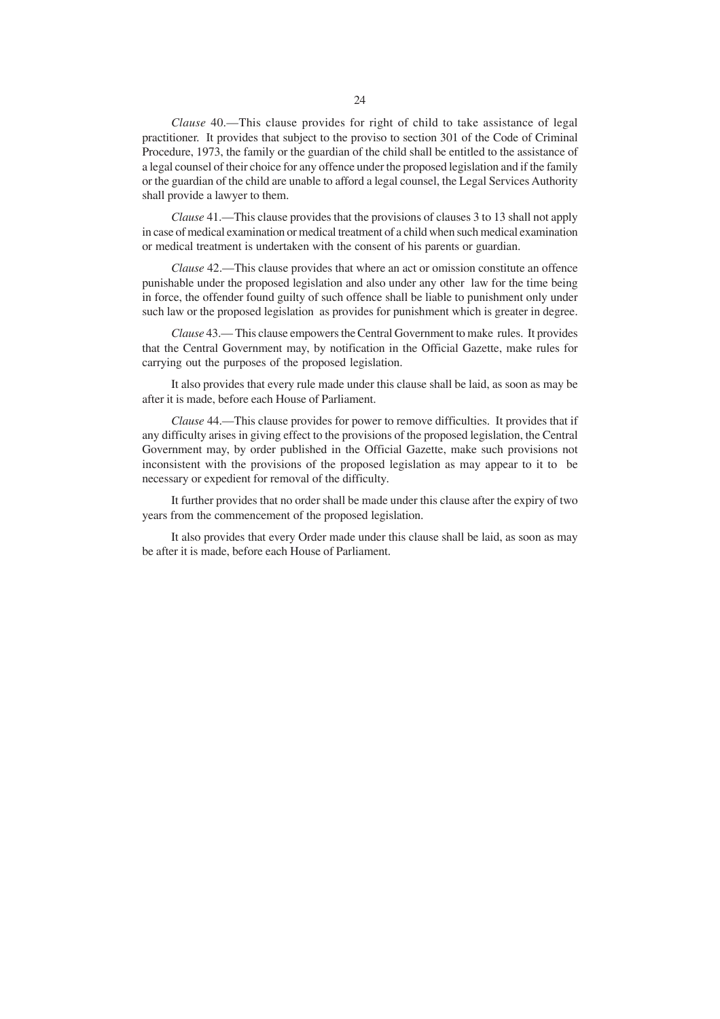*Clause* 41.—This clause provides that the provisions of clauses 3 to 13 shall not apply in case of medical examination or medical treatment of a child when such medical examination or medical treatment is undertaken with the consent of his parents or guardian.

*Clause* 42.—This clause provides that where an act or omission constitute an offence punishable under the proposed legislation and also under any other law for the time being in force, the offender found guilty of such offence shall be liable to punishment only under such law or the proposed legislation as provides for punishment which is greater in degree.

*Clause* 43.— This clause empowers the Central Government to make rules. It provides that the Central Government may, by notification in the Official Gazette, make rules for carrying out the purposes of the proposed legislation.

It also provides that every rule made under this clause shall be laid, as soon as may be after it is made, before each House of Parliament.

*Clause* 44.—This clause provides for power to remove difficulties. It provides that if any difficulty arises in giving effect to the provisions of the proposed legislation, the Central Government may, by order published in the Official Gazette, make such provisions not inconsistent with the provisions of the proposed legislation as may appear to it to be necessary or expedient for removal of the difficulty.

It further provides that no order shall be made under this clause after the expiry of two years from the commencement of the proposed legislation.

It also provides that every Order made under this clause shall be laid, as soon as may be after it is made, before each House of Parliament.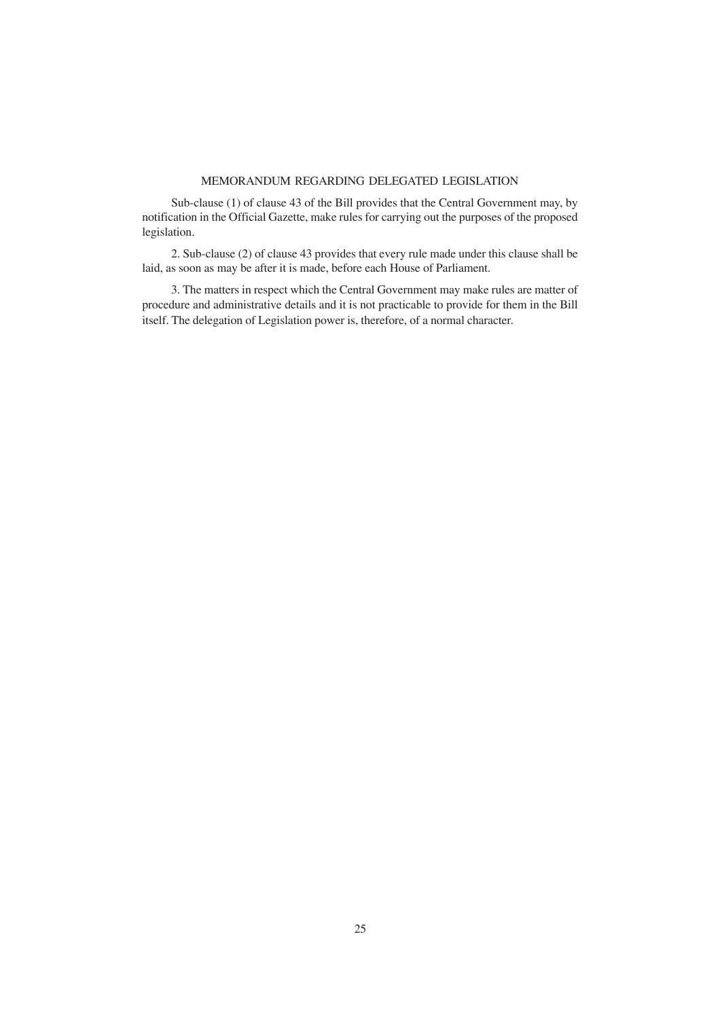# MEMORANDUM REGARDING DELEGATED LEGISLATION

Sub-clause (1) of clause 43 of the Bill provides that the Central Government may, by notification in the Official Gazette, make rules for carrying out the purposes of the proposed legislation.

2. Sub-clause (2) of clause 43 provides that every rule made under this clause shall be laid, as soon as may be after it is made, before each House of Parliament.

3. The matters in respect which the Central Government may make rules are matter of procedure and administrative details and it is not practicable to provide for them in the Bill itself. The delegation of Legislation power is, therefore, of a normal character.